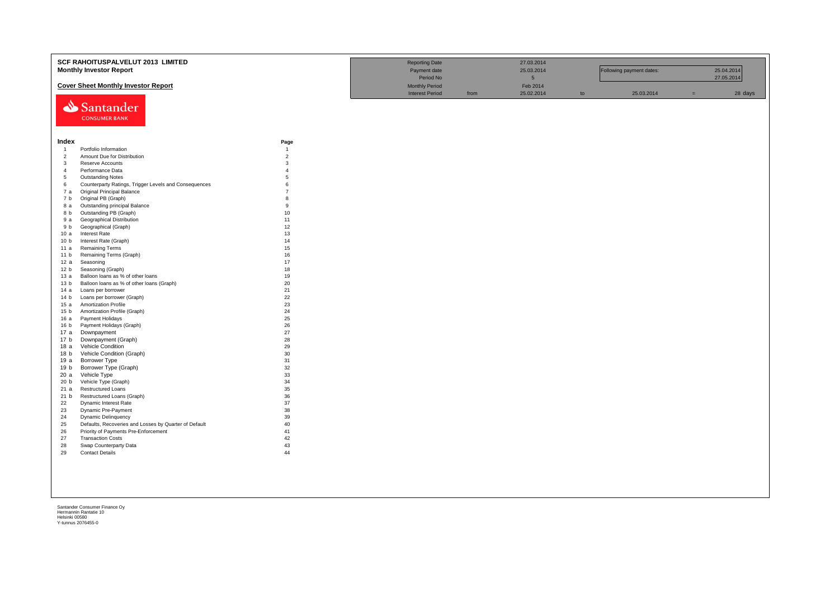|                         | SCF RAHOITUSPALVELUT 2013 LIMITED                     |                | <b>Reporting Date</b>  |      | 27.03.2014      |    |                          |     |            |
|-------------------------|-------------------------------------------------------|----------------|------------------------|------|-----------------|----|--------------------------|-----|------------|
|                         | <b>Monthly Investor Report</b>                        |                | Payment date           |      | 25.03.2014      |    | Following payment dates: |     | 25.04.2014 |
|                         |                                                       |                | Period No              |      | $5\phantom{.0}$ |    |                          |     | 27.05.2014 |
|                         |                                                       |                |                        |      |                 |    |                          |     |            |
|                         | <b>Cover Sheet Monthly Investor Report</b>            |                | <b>Monthly Period</b>  |      | Feb 2014        |    |                          |     |            |
|                         |                                                       |                | <b>Interest Period</b> | from | 25.02.2014      | to | 25.03.2014               | $=$ | 28 days    |
|                         | Santander                                             |                |                        |      |                 |    |                          |     |            |
|                         |                                                       |                |                        |      |                 |    |                          |     |            |
|                         | <b>CONSUMER BANK</b>                                  |                |                        |      |                 |    |                          |     |            |
|                         |                                                       |                |                        |      |                 |    |                          |     |            |
|                         |                                                       |                |                        |      |                 |    |                          |     |            |
| Index                   |                                                       | Page           |                        |      |                 |    |                          |     |            |
| $\overline{1}$          | Portfolio Information                                 | $\overline{1}$ |                        |      |                 |    |                          |     |            |
| $\overline{c}$          | Amount Due for Distribution                           | $\overline{2}$ |                        |      |                 |    |                          |     |            |
| $\mathbf{3}$            | Reserve Accounts                                      | 3              |                        |      |                 |    |                          |     |            |
| $\overline{4}$          | Performance Data                                      | $\overline{A}$ |                        |      |                 |    |                          |     |            |
| 5                       | <b>Outstanding Notes</b>                              | $\overline{5}$ |                        |      |                 |    |                          |     |            |
| 6                       | Counterparty Ratings, Trigger Levels and Consequences | 6              |                        |      |                 |    |                          |     |            |
| 7a                      | Original Principal Balance                            | $\overline{7}$ |                        |      |                 |    |                          |     |            |
| 7 b                     | Original PB (Graph)                                   | 8              |                        |      |                 |    |                          |     |            |
| 8 a                     | Outstanding principal Balance                         | 9              |                        |      |                 |    |                          |     |            |
| 8 b                     | Outstanding PB (Graph)                                | 10             |                        |      |                 |    |                          |     |            |
| 9 a                     | <b>Geographical Distribution</b>                      | 11             |                        |      |                 |    |                          |     |            |
| 9 b                     | Geographical (Graph)                                  | 12             |                        |      |                 |    |                          |     |            |
| 10a                     | <b>Interest Rate</b>                                  | 13             |                        |      |                 |    |                          |     |            |
| 10 <sub>b</sub>         | Interest Rate (Graph)                                 | 14             |                        |      |                 |    |                          |     |            |
| 11 a                    | <b>Remaining Terms</b>                                | 15             |                        |      |                 |    |                          |     |            |
| 11 <sub>b</sub>         | Remaining Terms (Graph)                               | 16             |                        |      |                 |    |                          |     |            |
| 12a                     | Seasoning                                             | 17             |                        |      |                 |    |                          |     |            |
| 12 <sub>b</sub>         | Seasoning (Graph)                                     | 18             |                        |      |                 |    |                          |     |            |
| 13 а                    | Balloon loans as % of other loans                     | 19<br>20       |                        |      |                 |    |                          |     |            |
| 13 <sub>b</sub>         | Balloon loans as % of other loans (Graph)             | 21             |                        |      |                 |    |                          |     |            |
| 14 a<br>14 <sub>b</sub> | Loans per borrower<br>Loans per borrower (Graph)      | 22             |                        |      |                 |    |                          |     |            |
| 15a                     | <b>Amortization Profile</b>                           | 23             |                        |      |                 |    |                          |     |            |
| 15 <sub>b</sub>         | Amortization Profile (Graph)                          | 24             |                        |      |                 |    |                          |     |            |
| 16 a                    | Payment Holidays                                      | 25             |                        |      |                 |    |                          |     |            |
| 16 <sub>b</sub>         | Payment Holidays (Graph)                              | 26             |                        |      |                 |    |                          |     |            |
| 17 a                    | Downpayment                                           | 27             |                        |      |                 |    |                          |     |            |
| 17 b                    | Downpayment (Graph)                                   | 28             |                        |      |                 |    |                          |     |            |
| 18a                     | Vehicle Condition                                     | 29             |                        |      |                 |    |                          |     |            |
| 18 <sub>b</sub>         | Vehicle Condition (Graph)                             | 30             |                        |      |                 |    |                          |     |            |
| 19 a                    | Borrower Type                                         | 31             |                        |      |                 |    |                          |     |            |
| 19 b                    | Borrower Type (Graph)                                 | 32             |                        |      |                 |    |                          |     |            |
| 20a                     | Vehicle Type                                          | 33             |                        |      |                 |    |                          |     |            |
| 20 <sub>b</sub>         | Vehicle Type (Graph)                                  | 34             |                        |      |                 |    |                          |     |            |
| 21a                     | <b>Restructured Loans</b>                             | 35             |                        |      |                 |    |                          |     |            |
| 21 b                    | Restructured Loans (Graph)                            | 36             |                        |      |                 |    |                          |     |            |
| 22                      | Dynamic Interest Rate                                 | 37             |                        |      |                 |    |                          |     |            |
| 23                      | Dynamic Pre-Payment                                   | 38             |                        |      |                 |    |                          |     |            |
| 24                      | <b>Dynamic Delinquency</b>                            | 39             |                        |      |                 |    |                          |     |            |
| 25                      | Defaults, Recoveries and Losses by Quarter of Default | 40             |                        |      |                 |    |                          |     |            |
| 26                      | Priority of Payments Pre-Enforcement                  | 41             |                        |      |                 |    |                          |     |            |
| 27<br>28                | <b>Transaction Costs</b><br>Swap Counterparty Data    | 42<br>43       |                        |      |                 |    |                          |     |            |
| 29                      | <b>Contact Details</b>                                | 44             |                        |      |                 |    |                          |     |            |
|                         |                                                       |                |                        |      |                 |    |                          |     |            |
|                         |                                                       |                |                        |      |                 |    |                          |     |            |
|                         |                                                       |                |                        |      |                 |    |                          |     |            |
|                         |                                                       |                |                        |      |                 |    |                          |     |            |
|                         |                                                       |                |                        |      |                 |    |                          |     |            |
|                         |                                                       |                |                        |      |                 |    |                          |     |            |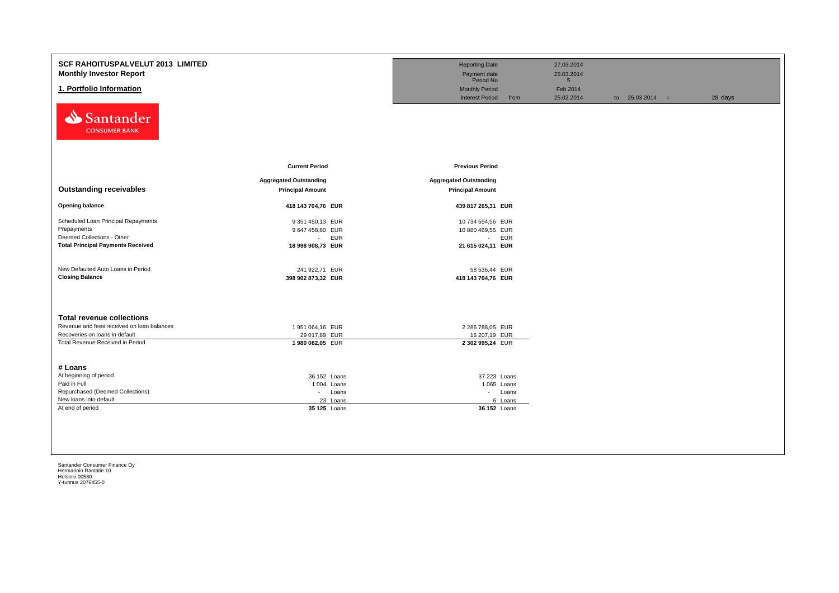| <b>SCF RAHOITUSPALVELUT 2013 LIMITED</b><br><b>Monthly Investor Report</b><br>1. Portfolio Information<br>Santander<br><b>CONSUMER BANK</b>          |                                                                                   | <b>Reporting Date</b><br>Payment date<br>Period No<br><b>Monthly Period</b><br><b>Interest Period</b><br>from | 27.03.2014<br>25.03.2014<br>5 <sup>5</sup><br>Feb 2014<br>25.02.2014 | to $25.03.2014 =$ | 28 days |
|------------------------------------------------------------------------------------------------------------------------------------------------------|-----------------------------------------------------------------------------------|---------------------------------------------------------------------------------------------------------------|----------------------------------------------------------------------|-------------------|---------|
| <b>Outstanding receivables</b>                                                                                                                       | <b>Current Period</b><br><b>Aggregated Outstanding</b><br><b>Principal Amount</b> | <b>Previous Period</b><br><b>Aggregated Outstanding</b><br><b>Principal Amount</b>                            |                                                                      |                   |         |
| <b>Opening balance</b>                                                                                                                               | 418 143 704,76 EUR                                                                | 439 817 265,31 EUR                                                                                            |                                                                      |                   |         |
| Scheduled Loan Principal Repayments<br>Prepayments<br>Deemed Collections - Other<br><b>Total Principal Payments Received</b>                         | 9 351 450,13 EUR<br>9 647 458,60 EUR<br>- EUR<br>18 998 908,73 EUR                | 10 734 554,56 EUR<br>10 880 469,55 EUR<br>- EUR<br>21 615 024,11 EUR                                          |                                                                      |                   |         |
| New Defaulted Auto Loans in Period<br><b>Closing Balance</b>                                                                                         | 241 922,71 EUR<br>398 902 873,32 EUR                                              | 58 536,44 EUR<br>418 143 704,76 EUR                                                                           |                                                                      |                   |         |
| <b>Total revenue collections</b><br>Revenue and fees received on loan balances<br>Recoveries on loans in default<br>Total Revenue Received in Period | 1951 064,16 EUR<br>29 017,89 EUR<br>1980 082,05 EUR                               | 2 286 788,05 EUR<br>16 207,19 EUR<br>2 302 995,24 EUR                                                         |                                                                      |                   |         |
| # Loans<br>At beginning of period<br>Paid in Full<br>Repurchased (Deemed Collections)<br>New loans into default<br>At end of period                  | 36 152 Loans<br>1004 Loans<br>- Loans<br>23 Loans<br>35 125 Loans                 | 37 223 Loans<br>1 065 Loans<br>- Loans<br>6 Loans<br>36 152 Loans                                             |                                                                      |                   |         |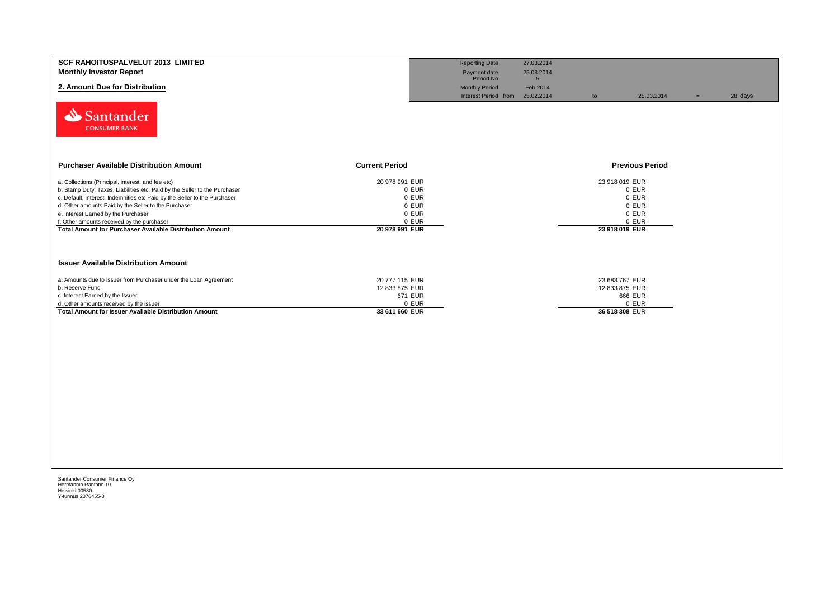| <b>SCF RAHOITUSPALVELUT 2013 LIMITED</b><br><b>Monthly Investor Report</b><br>2. Amount Due for Distribution  |                         | <b>Reporting Date</b><br>Payment date<br>Period No<br><b>Monthly Period</b><br>Interest Period from | 27.03.2014<br>25.03.2014<br>5 <sup>5</sup><br>Feb 2014<br>25.02.2014 | to             | 25.03.2014             | $=$ | 28 days |
|---------------------------------------------------------------------------------------------------------------|-------------------------|-----------------------------------------------------------------------------------------------------|----------------------------------------------------------------------|----------------|------------------------|-----|---------|
| Santander<br><b>CONSUMER BANK</b>                                                                             |                         |                                                                                                     |                                                                      |                |                        |     |         |
| <b>Purchaser Available Distribution Amount</b>                                                                | <b>Current Period</b>   |                                                                                                     |                                                                      |                | <b>Previous Period</b> |     |         |
| a. Collections (Principal, interest, and fee etc)                                                             | 20 978 991 EUR          |                                                                                                     |                                                                      | 23 918 019 EUR |                        |     |         |
| b. Stamp Duty, Taxes, Liabilities etc. Paid by the Seller to the Purchaser                                    | 0 EUR                   |                                                                                                     |                                                                      |                | 0 EUR                  |     |         |
| c. Default, Interest, Indemnities etc Paid by the Seller to the Purchaser                                     | 0 EUR                   |                                                                                                     |                                                                      |                | 0 EUR                  |     |         |
| d. Other amounts Paid by the Seller to the Purchaser                                                          | 0 EUR                   |                                                                                                     |                                                                      |                | 0 EUR                  |     |         |
| e. Interest Earned by the Purchaser                                                                           | 0 EUR                   |                                                                                                     |                                                                      |                | 0 EUR                  |     |         |
| f. Other amounts received by the purchaser<br><b>Total Amount for Purchaser Available Distribution Amount</b> | 0 EUR<br>20 978 991 EUR |                                                                                                     |                                                                      | 23 918 019 EUR | 0 EUR                  |     |         |
| <b>Issuer Available Distribution Amount</b>                                                                   |                         |                                                                                                     |                                                                      |                |                        |     |         |
| a. Amounts due to Issuer from Purchaser under the Loan Agreement                                              | 20 777 115 EUR          |                                                                                                     |                                                                      | 23 683 767 EUR |                        |     |         |
| b. Reserve Fund                                                                                               | 12 833 875 EUR          |                                                                                                     |                                                                      | 12 833 875 EUR |                        |     |         |
| c. Interest Earned by the Issuer                                                                              | 671 EUR                 |                                                                                                     |                                                                      |                | 666 EUR                |     |         |
| d. Other amounts received by the issuer                                                                       | 0 EUR                   |                                                                                                     |                                                                      |                | 0 EUR                  |     |         |
| <b>Total Amount for Issuer Available Distribution Amount</b>                                                  | 33 611 660 EUR          |                                                                                                     |                                                                      | 36 518 308 EUR |                        |     |         |
|                                                                                                               |                         |                                                                                                     |                                                                      |                |                        |     |         |
|                                                                                                               |                         |                                                                                                     |                                                                      |                |                        |     |         |
|                                                                                                               |                         |                                                                                                     |                                                                      |                |                        |     |         |
|                                                                                                               |                         |                                                                                                     |                                                                      |                |                        |     |         |
|                                                                                                               |                         |                                                                                                     |                                                                      |                |                        |     |         |
|                                                                                                               |                         |                                                                                                     |                                                                      |                |                        |     |         |
|                                                                                                               |                         |                                                                                                     |                                                                      |                |                        |     |         |
|                                                                                                               |                         |                                                                                                     |                                                                      |                |                        |     |         |
|                                                                                                               |                         |                                                                                                     |                                                                      |                |                        |     |         |
|                                                                                                               |                         |                                                                                                     |                                                                      |                |                        |     |         |
|                                                                                                               |                         |                                                                                                     |                                                                      |                |                        |     |         |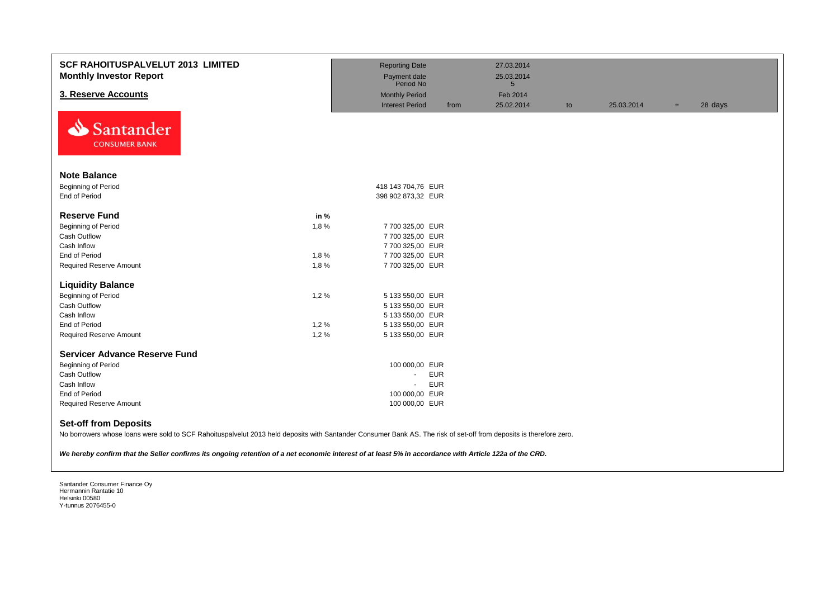| <b>SCF RAHOITUSPALVELUT 2013 LIMITED</b><br><b>Monthly Investor Report</b>                                                                                                                                                                                                                                                                                    |      | <b>Reporting Date</b><br>Payment date<br>Period No |            | 27.03.2014<br>25.03.2014<br>$5\overline{)}$ |    |            |     |         |
|---------------------------------------------------------------------------------------------------------------------------------------------------------------------------------------------------------------------------------------------------------------------------------------------------------------------------------------------------------------|------|----------------------------------------------------|------------|---------------------------------------------|----|------------|-----|---------|
| 3. Reserve Accounts                                                                                                                                                                                                                                                                                                                                           |      | <b>Monthly Period</b>                              |            | Feb 2014                                    |    |            |     |         |
|                                                                                                                                                                                                                                                                                                                                                               |      | <b>Interest Period</b>                             | from       | 25.02.2014                                  | to | 25.03.2014 | $=$ | 28 days |
| Santander<br><b>CONSUMER BANK</b>                                                                                                                                                                                                                                                                                                                             |      |                                                    |            |                                             |    |            |     |         |
| <b>Note Balance</b>                                                                                                                                                                                                                                                                                                                                           |      |                                                    |            |                                             |    |            |     |         |
| Beginning of Period                                                                                                                                                                                                                                                                                                                                           |      | 418 143 704,76 EUR                                 |            |                                             |    |            |     |         |
| End of Period                                                                                                                                                                                                                                                                                                                                                 |      | 398 902 873,32 EUR                                 |            |                                             |    |            |     |         |
| <b>Reserve Fund</b>                                                                                                                                                                                                                                                                                                                                           | in % |                                                    |            |                                             |    |            |     |         |
| Beginning of Period                                                                                                                                                                                                                                                                                                                                           | 1,8% | 7 700 325,00 EUR                                   |            |                                             |    |            |     |         |
| Cash Outflow                                                                                                                                                                                                                                                                                                                                                  |      | 7 700 325,00 EUR                                   |            |                                             |    |            |     |         |
| Cash Inflow                                                                                                                                                                                                                                                                                                                                                   |      | 7 700 325,00 EUR                                   |            |                                             |    |            |     |         |
| <b>End of Period</b>                                                                                                                                                                                                                                                                                                                                          | 1,8% | 7 700 325,00 EUR                                   |            |                                             |    |            |     |         |
| <b>Required Reserve Amount</b>                                                                                                                                                                                                                                                                                                                                | 1,8% | 7 700 325,00 EUR                                   |            |                                             |    |            |     |         |
| <b>Liquidity Balance</b>                                                                                                                                                                                                                                                                                                                                      |      |                                                    |            |                                             |    |            |     |         |
| Beginning of Period                                                                                                                                                                                                                                                                                                                                           | 1,2% | 5 133 550,00 EUR                                   |            |                                             |    |            |     |         |
| Cash Outflow                                                                                                                                                                                                                                                                                                                                                  |      | 5 133 550,00 EUR                                   |            |                                             |    |            |     |         |
| Cash Inflow                                                                                                                                                                                                                                                                                                                                                   |      | 5 133 550,00 EUR                                   |            |                                             |    |            |     |         |
| End of Period                                                                                                                                                                                                                                                                                                                                                 | 1,2% | 5 133 550,00 EUR                                   |            |                                             |    |            |     |         |
| <b>Required Reserve Amount</b>                                                                                                                                                                                                                                                                                                                                | 1,2% | 5 133 550,00 EUR                                   |            |                                             |    |            |     |         |
| <b>Servicer Advance Reserve Fund</b>                                                                                                                                                                                                                                                                                                                          |      |                                                    |            |                                             |    |            |     |         |
| Beginning of Period                                                                                                                                                                                                                                                                                                                                           |      | 100 000,00 EUR                                     |            |                                             |    |            |     |         |
| <b>Cash Outflow</b>                                                                                                                                                                                                                                                                                                                                           |      | $\blacksquare$                                     | <b>EUR</b> |                                             |    |            |     |         |
| Cash Inflow                                                                                                                                                                                                                                                                                                                                                   |      | $\blacksquare$                                     | <b>EUR</b> |                                             |    |            |     |         |
| End of Period                                                                                                                                                                                                                                                                                                                                                 |      | 100 000,00 EUR                                     |            |                                             |    |            |     |         |
| <b>Required Reserve Amount</b>                                                                                                                                                                                                                                                                                                                                |      | 100 000,00 EUR                                     |            |                                             |    |            |     |         |
| <b>Set-off from Deposits</b><br>No borrowers whose loans were sold to SCF Rahoituspalvelut 2013 held deposits with Santander Consumer Bank AS. The risk of set-off from deposits is therefore zero.<br>We hereby confirm that the Seller confirms its ongoing retention of a net economic interest of at least 5% in accordance with Article 122a of the CRD. |      |                                                    |            |                                             |    |            |     |         |
|                                                                                                                                                                                                                                                                                                                                                               |      |                                                    |            |                                             |    |            |     |         |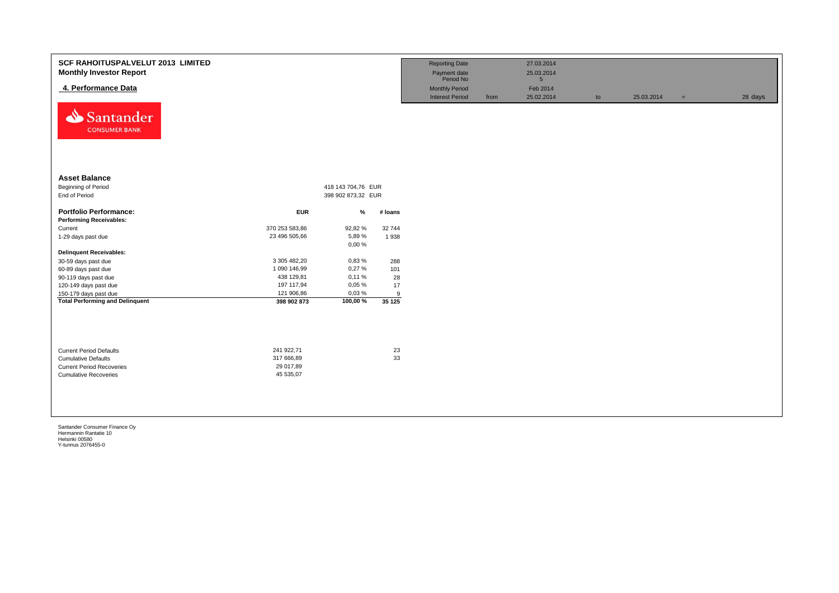| <b>SCF RAHOITUSPALVELUT 2013 LIMITED</b><br><b>Monthly Investor Report</b><br>4. Performance Data<br>⇘<br>Santander<br><b>CONSUMER BANK</b> |                                                    |                    |          | <b>Reporting Date</b><br>Payment date<br>Period No<br><b>Monthly Period</b><br><b>Interest Period</b> | from | 27.03.2014<br>25.03.2014<br>5 <sup>5</sup><br>Feb 2014<br>25.02.2014 | to | 25.03.2014 | $=$ | 28 days |
|---------------------------------------------------------------------------------------------------------------------------------------------|----------------------------------------------------|--------------------|----------|-------------------------------------------------------------------------------------------------------|------|----------------------------------------------------------------------|----|------------|-----|---------|
| <b>Asset Balance</b>                                                                                                                        |                                                    |                    |          |                                                                                                       |      |                                                                      |    |            |     |         |
| Beginning of Period                                                                                                                         |                                                    | 418 143 704,76 EUR |          |                                                                                                       |      |                                                                      |    |            |     |         |
| End of Period                                                                                                                               |                                                    | 398 902 873,32 EUR |          |                                                                                                       |      |                                                                      |    |            |     |         |
| <b>Portfolio Performance:</b>                                                                                                               | <b>EUR</b>                                         | %                  | # Ioans  |                                                                                                       |      |                                                                      |    |            |     |         |
| <b>Performing Receivables:</b>                                                                                                              |                                                    |                    |          |                                                                                                       |      |                                                                      |    |            |     |         |
| Current                                                                                                                                     | 370 253 583,86                                     | 92,82 %            | 32 744   |                                                                                                       |      |                                                                      |    |            |     |         |
| 1-29 days past due                                                                                                                          | 23 496 505,66                                      | 5,89%              | 1938     |                                                                                                       |      |                                                                      |    |            |     |         |
|                                                                                                                                             |                                                    | 0,00%              |          |                                                                                                       |      |                                                                      |    |            |     |         |
| <b>Delinquent Receivables:</b>                                                                                                              | 3 305 482,20                                       | 0,83%              | 288      |                                                                                                       |      |                                                                      |    |            |     |         |
| 30-59 days past due                                                                                                                         | 1 090 146,99                                       | 0,27%              | 101      |                                                                                                       |      |                                                                      |    |            |     |         |
| 60-89 days past due<br>90-119 days past due                                                                                                 | 438 129,81                                         | 0,11%              | 28       |                                                                                                       |      |                                                                      |    |            |     |         |
| 120-149 days past due                                                                                                                       | 197 117,94                                         | 0,05%              | 17       |                                                                                                       |      |                                                                      |    |            |     |         |
| 150-179 days past due                                                                                                                       | 121 906,86                                         | 0,03%              | 9        |                                                                                                       |      |                                                                      |    |            |     |         |
| <b>Total Performing and Delinquent</b>                                                                                                      | 398 902 873                                        | 100,00%            | 35 125   |                                                                                                       |      |                                                                      |    |            |     |         |
| <b>Current Period Defaults</b><br><b>Cumulative Defaults</b><br><b>Current Period Recoveries</b><br><b>Cumulative Recoveries</b>            | 241 922,71<br>317 666,89<br>29 017,89<br>45 535,07 |                    | 23<br>33 |                                                                                                       |      |                                                                      |    |            |     |         |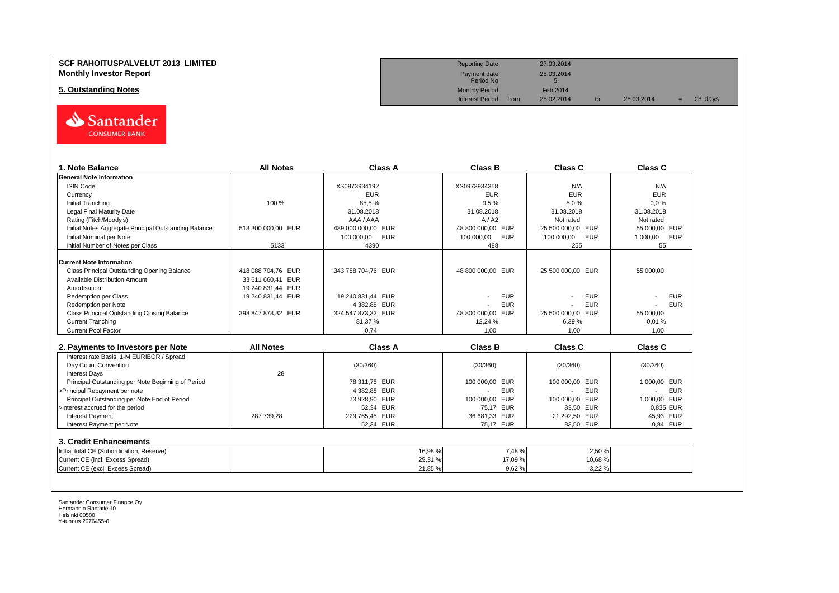## **SCF RAHOITUSPALVELUT 2013 LIMITED Reporting Date** 27.03.2014 **Monthly Investor Report**<br>
Monthly Investor Report<br>
Fayment date 25.03.2014<br>
Period No

**5. Outstanding Notes** Feb 2014<br> **Feb 2014**<br>
Interest Period from 25.02.2014



| 1. Note Balance                                       | <b>All Notes</b>   | <b>Class A</b>     | <b>Class B</b>    | <b>Class C</b>    | Class C                      |
|-------------------------------------------------------|--------------------|--------------------|-------------------|-------------------|------------------------------|
| <b>General Note Information</b>                       |                    |                    |                   |                   |                              |
| <b>ISIN Code</b>                                      |                    | XS0973934192       | XS0973934358      | N/A               | N/A                          |
| Currency                                              |                    | <b>EUR</b>         | <b>EUR</b>        | <b>EUR</b>        | <b>EUR</b>                   |
| Initial Tranching                                     | 100 %              | 85.5%              | 9.5%              | 5.0%              | 0.0%                         |
| <b>Legal Final Maturity Date</b>                      |                    | 31.08.2018         | 31.08.2018        | 31.08.2018        | 31.08.2018                   |
| Rating (Fitch/Moody's)                                |                    | AAA / AAA          | A/ A2             | Not rated         | Not rated                    |
| Initial Notes Aggregate Principal Outstanding Balance | 513 300 000,00 EUR | 439 000 000,00 EUR | 48 800 000,00 EUR | 25 500 000,00 EUR | 55 000,00 EUR                |
| Initial Nominal per Note                              |                    | 100 000,00<br>EUR  | 100 000,00<br>EUR | 100 000,00<br>EUR | 1 000,00<br><b>EUR</b>       |
| Initial Number of Notes per Class                     | 5133               | 4390               | 488               | 255               | 55                           |
| <b>Current Note Information</b>                       |                    |                    |                   |                   |                              |
| Class Principal Outstanding Opening Balance           | 418 088 704.76 EUR | 343 788 704.76 EUR | 48 800 000.00 EUR | 25 500 000.00 EUR | 55 000.00                    |
| Available Distribution Amount                         | 33 611 660,41 EUR  |                    |                   |                   |                              |
| Amortisation                                          | 19 240 831,44 EUR  |                    |                   |                   |                              |
| <b>Redemption per Class</b>                           | 19 240 831,44 EUR  | 19 240 831,44 EUR  | <b>EUR</b>        | <b>EUR</b>        | <b>EUR</b>                   |
| Redemption per Note                                   |                    | 4 382.88 EUR       | <b>EUR</b>        | <b>EUR</b>        | <b>EUR</b><br>$\overline{a}$ |
| Class Principal Outstanding Closing Balance           | 398 847 873,32 EUR | 324 547 873.32 EUR | 48 800 000.00 EUR | 25 500 000.00 EUR | 55 000.00                    |
| <b>Current Tranching</b>                              |                    | 81,37%             | 12,24 %           | 6.39%             | 0.01%                        |
| <b>Current Pool Factor</b>                            |                    | 0,74               | 1.00              | 1,00              | 1.00                         |
|                                                       |                    |                    |                   |                   |                              |
| 2. Payments to Investors per Note                     | <b>All Notes</b>   | <b>Class A</b>     | <b>Class B</b>    | <b>Class C</b>    | <b>Class C</b>               |
| Interest rate Basis: 1-M EURIBOR / Spread             |                    |                    |                   |                   |                              |
| Day Count Convention                                  |                    | (30/360)           | (30/360)          | (30/360)          | (30/360)                     |
| <b>Interest Days</b>                                  | 28                 |                    |                   |                   |                              |
| Principal Outstanding per Note Beginning of Period    |                    | 78 311.78 EUR      | 100 000,00 EUR    | 100 000,00 EUR    | 1 000.00 EUR                 |
| >Principal Repayment per note                         |                    | 4 382.88 EUR       | <b>EUR</b>        | <b>EUR</b>        | <b>EUR</b><br>$\blacksquare$ |
| Principal Outstanding per Note End of Period          |                    | 73 928.90 EUR      | 100 000.00 EUR    | 100 000,00 EUR    | 1 000,00 EUR                 |
| >Interest accrued for the period                      |                    | 52,34 EUR          | 75.17 EUR         | 83,50 EUR         | 0,835 EUR                    |
| <b>Interest Payment</b>                               | 287 739,28         | 229 765,45 EUR     | 36 681,33 EUR     | 21 292,50 EUR     | 45,93 EUR                    |
| Interest Payment per Note                             |                    | 52,34 EUR          | 75.17 EUR         | 83.50 EUR         | 0.84 EUR                     |
| 3. Credit Enhancements                                |                    |                    |                   |                   |                              |
|                                                       |                    |                    |                   |                   |                              |
| Initial total CE (Subordination, Reserve)             |                    | 16,98 %            | 7,48%             | 2,50 %            |                              |
| Current CE (incl. Excess Spread)                      |                    | 29,31%             | 17,09 %           | 10,68%            |                              |
| Current CE (excl. Excess Spread)                      |                    | 21,85 %            | 9,62%             | 3,22 %            |                              |

Payment date<br>Period No

Interest Period from 25.02.2014 to 25.03.2014 = 28 days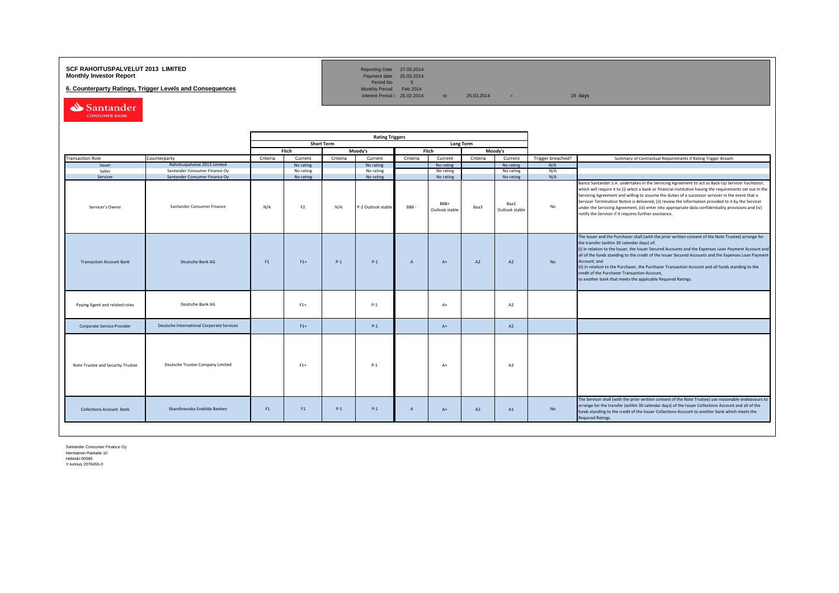## **SCF RAHOITUSPALVELUT 2013 LIMITED**<br>**Monthly Investor Report** Payment date 25.03.2014

**6. Counterparty Ratings, Trigger Levels and Consequences** 

Reporting Date 27.03.2014<br>Payment date 25.03.2014<br>Period No 5<br>Monthly Period Feb 2014

Interest Period:  $25.02.2014$  to  $25.03.2014$  = 28 days

Santander

|                                   |                                           |          |                |                   | <b>Rating Triggers</b> |                |                        |          |                        |                   |                                                                                                                                                                                                                                                                                                                                                                                                                                                                                                                                                                                                        |
|-----------------------------------|-------------------------------------------|----------|----------------|-------------------|------------------------|----------------|------------------------|----------|------------------------|-------------------|--------------------------------------------------------------------------------------------------------------------------------------------------------------------------------------------------------------------------------------------------------------------------------------------------------------------------------------------------------------------------------------------------------------------------------------------------------------------------------------------------------------------------------------------------------------------------------------------------------|
|                                   |                                           |          |                | <b>Short Term</b> |                        |                | <b>Long Term</b>       |          |                        |                   |                                                                                                                                                                                                                                                                                                                                                                                                                                                                                                                                                                                                        |
|                                   |                                           |          | Fitch          |                   | Moody's                |                | Fitch                  |          | Moody's                |                   |                                                                                                                                                                                                                                                                                                                                                                                                                                                                                                                                                                                                        |
| <b>Transaction Role</b>           | Counterparty                              | Criteria | Current        | Criteria          | Current                | Criteria       | Current                | Criteria | Current                | Trigger breached? | Summary of Contractual Requirements if Rating Trigger Breach                                                                                                                                                                                                                                                                                                                                                                                                                                                                                                                                           |
| Issuer                            | Rahoituspalvelut 2013 Limited             |          | No rating      |                   | No rating              |                | No rating              |          | No rating              | N/A               |                                                                                                                                                                                                                                                                                                                                                                                                                                                                                                                                                                                                        |
| Seller                            | Santander Consumer Finance Oy             |          | No rating      |                   | No rating              |                | No rating              |          | No rating              | N/A               |                                                                                                                                                                                                                                                                                                                                                                                                                                                                                                                                                                                                        |
| Servicer                          | Santander Consumer Finance Oy             |          | No rating      |                   | No rating              |                | No rating              |          | No rating              | N/A               |                                                                                                                                                                                                                                                                                                                                                                                                                                                                                                                                                                                                        |
| Servicer's Owner                  | Santander Consumer Finance                | N/A      | F <sub>2</sub> | N/A               | -2 Outlook stable      | <b>BBB</b>     | BBB+<br>Outlook stable | Baa3     | Baa1<br>Outlook stable | No                | Banco Santander S.A. undertakes in the Servicing Agreement to act as Back-Up Servicer Facilitator,<br>which will require it to (i) select a bank or financial institution having the requirements set out in the<br>Servicing Agreement and willing to assume the duties of a successor servicer in the event that a<br>Servicer Termination Notice is delivered, (ii) review the information provided to it by the Servicer<br>under the Servicing Agreement, (iii) enter into appropriate data confidentiality provisions and (iv)<br>notify the Servicer if it requires further assistance.         |
| <b>Transaction Account Bank</b>   | Deutsche Bank AG                          | F1       | $F1+$          | $P-1$             | $P-1$                  | $\overline{A}$ | $A+$                   | A2       | A2                     | <b>No</b>         | The Issuer and the Purchaser shall (with the prior written consent of the Note Trustee) arrange for<br>the transfer (within 30 calendar days) of:<br>(i) in relation to the Issuer, the Issuer Secured Accounts and the Expenses Loan Payment Account and<br>all of the funds standing to the credit of the Issuer Secured Accounts and the Expenses Loan Payment<br>Account: and<br>(ii) in relation to the Purchaser, the Purchaser Transaction Account and all funds standing to the<br>credit of the Purchaser Transaction Account,<br>to another bank that meets the applicable Required Ratings. |
| Paying Agent and related roles    | Deutsche Bank AG                          |          | $F1+$          |                   | $P-1$                  |                | $A+$                   |          | A <sub>2</sub>         |                   |                                                                                                                                                                                                                                                                                                                                                                                                                                                                                                                                                                                                        |
| Corporate Service Provider        | Deutsche International Corporate Services |          | $F1+$          |                   | $P-1$                  |                | $A+$                   |          | A2                     |                   |                                                                                                                                                                                                                                                                                                                                                                                                                                                                                                                                                                                                        |
| Note Trustee and Security Trustee | Deutsche Trustee Company Limited          |          | $F1+$          |                   | $P-1$                  |                | $A+$                   |          | A2                     |                   |                                                                                                                                                                                                                                                                                                                                                                                                                                                                                                                                                                                                        |
| <b>Collections Account Bank</b>   | Skandinaviska Enskilda Banken             | F1       | F1             | $P-1$             | $P-1$                  | $\overline{A}$ | $A+$                   | A2       | A1                     | No                | The Servicer shall (with the prior written consent of the Note Trustee) use reasonable endeavours to<br>arrange for the transfer (within 30 calendar days) of the Issuer Collections Account and all of the<br>funds standing to the credit of the Issuer Collections Account to another bank which meets the<br><b>Required Ratings.</b>                                                                                                                                                                                                                                                              |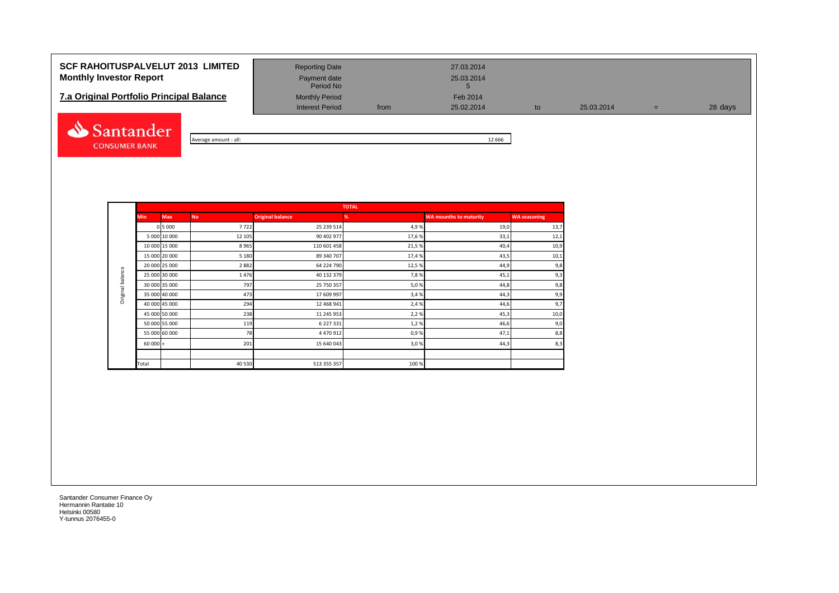# **SCF RAHOITUSPALVELUT 2013 LIMITED** Reporting Date 27.03.2014 **Monthly Investor Report Payment date** Payment date 25.03.2014

| <b>7.a Original Portfolio Principal Balance</b> | <b>Monthly Period</b> | Feb 2014 |            |
|-------------------------------------------------|-----------------------|----------|------------|
|                                                 | Interest Period       | from     | 25.02.2014 |



| - all:         | 666 |
|----------------|-----|
| Average amount | ᆠ   |

Period No

Interest Period from 25.02.2014 to 25.03.2014 = 28 days

|                  |           |               |           |                         | <b>TOTAL</b> |                               |                     |
|------------------|-----------|---------------|-----------|-------------------------|--------------|-------------------------------|---------------------|
|                  | Min       | <b>Max</b>    | <b>No</b> | <b>Original balance</b> | %            | <b>WA mounths to maturity</b> | <b>WA seasoning</b> |
|                  |           | 0 5 0 0 0     | 7722      | 25 239 514              | 4,9%         | 19,0                          | 13,7                |
|                  |           | 5 000 10 000  | 12 105    | 90 402 977              | 17,6%        | 33,1                          | 12,1                |
|                  |           | 10 000 15 000 | 8965      | 110 601 458             | 21,5%        | 40,4                          | 10,9                |
|                  |           | 15 000 20 000 | 5 1 8 0   | 89 340 707              | 17,4%        | 43,5                          | 10,1                |
|                  |           | 20 000 25 000 | 2882      | 64 224 790              | 12,5%        | 44,9                          | 9,8                 |
| Original balance |           | 25 000 30 000 | 1476      | 40 132 379              | 7,8%         | 45,1                          | 9,3                 |
|                  |           | 30 000 35 000 | 797       | 25 750 357              | 5,0%         | 44,8                          | 9,8                 |
|                  |           | 35 000 40 000 | 473       | 17 609 997              | 3,4%         | 44,3                          | 9,9                 |
|                  |           | 40 000 45 000 | 294       | 12 468 941              | 2,4 %        | 44,6                          | 9,7                 |
|                  |           | 45 000 50 000 | 238       | 11 245 953              | 2,2%         | 45,3                          | 10,0                |
|                  |           | 50 000 55 000 | 119       | 6 227 331               | 1,2%         | 46,6                          | 9,0                 |
|                  |           | 55 000 60 000 | 78        | 4 470 912               | 0,9%         | 47,1                          | 8,8                 |
|                  | $60000 +$ |               | 201       | 15 640 043              | 3,0%         | 44,3                          | 8,3                 |
|                  |           |               |           |                         |              |                               |                     |
|                  | Total     |               | 40 530    | 513 355 357             | 100%         |                               |                     |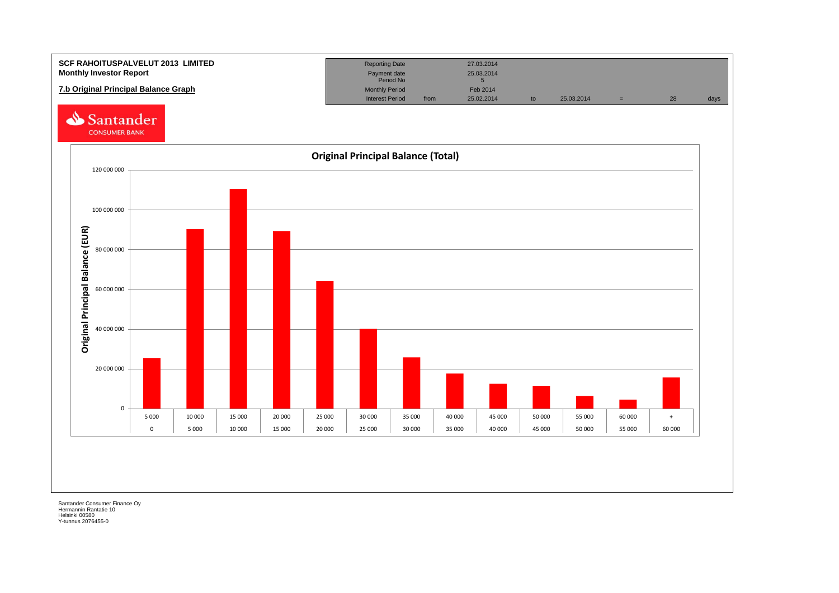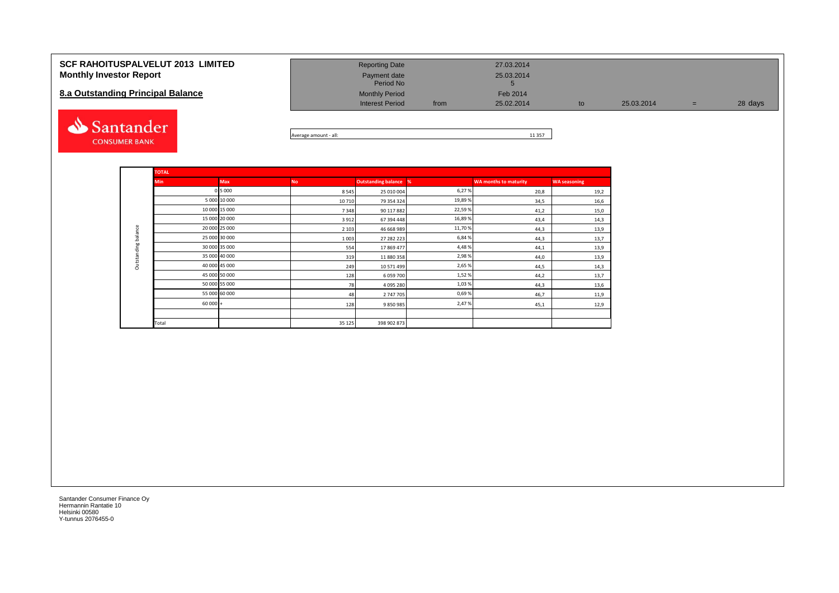#### **SCF RAHOITUSPALVELUT 2013 LIMITED Monthly Investor Report**

### **8.a Outstanding Principal Balance**



| <b>Reporting Date</b>     |      | 27.03.2014      |    |            |     |         |
|---------------------------|------|-----------------|----|------------|-----|---------|
| Payment date<br>Period No |      | 25.03.2014<br>ю |    |            |     |         |
| <b>Monthly Period</b>     |      | Feb 2014        |    |            |     |         |
| <b>Interest Period</b>    | from | 25.02.2014      | to | 25.03.2014 | $=$ | 28 days |

Average amount - all: 11 357

|                     | <b>TOTAL</b> |               |           |                              |         |                              |                     |
|---------------------|--------------|---------------|-----------|------------------------------|---------|------------------------------|---------------------|
|                     | <b>Min</b>   | <b>Max</b>    | <b>No</b> | <b>Outstanding balance %</b> |         | <b>WA months to maturity</b> | <b>WA seasoning</b> |
|                     |              | 0 5 000       | 8545      | 25 010 004                   | 6,27%   | 20,8                         | 19,2                |
|                     |              | 5 000 10 000  | 10710     | 79 354 324                   | 19,89 % | 34,5                         | 16,6                |
|                     |              | 10 000 15 000 | 7348      | 90 117 882                   | 22,59%  | 41,2                         | 15,0                |
|                     |              | 15 000 20 000 | 3912      | 67 394 448                   | 16,89 % | 43,4                         | 14,3                |
|                     |              | 20 000 25 000 | 2 1 0 3   | 46 668 989                   | 11,70 % | 44,3                         | 13,9                |
|                     |              | 25 000 30 000 | 1003      | 27 282 223                   | 6,84 %  | 44,3                         | 13,7                |
| Outstanding balance |              | 30 000 35 000 | 554       | 17869477                     | 4,48%   | 44,1                         | 13,9                |
|                     |              | 35 000 40 000 | 319       | 11 880 358                   | 2,98%   | 44,0                         | 13,9                |
|                     |              | 40 000 45 000 | 249       | 10 571 499                   | 2,65 %  | 44,5                         | 14,3                |
|                     |              | 45 000 50 000 | 128       | 6 059 700                    | 1,52%   | 44,2                         | 13,7                |
|                     |              | 50 000 55 000 | 78        | 4 095 280                    | 1,03%   | 44,3                         | 13,6                |
|                     |              | 55 000 60 000 | 48        | 2 747 705                    | 0,69%   | 46,7                         | 11,9                |
|                     | $60000 +$    |               | 128       | 9850985                      | 2,47%   | 45,1                         | 12,9                |
|                     |              |               |           |                              |         |                              |                     |
|                     | Total        |               | 35 1 25   | 398 902 873                  |         |                              |                     |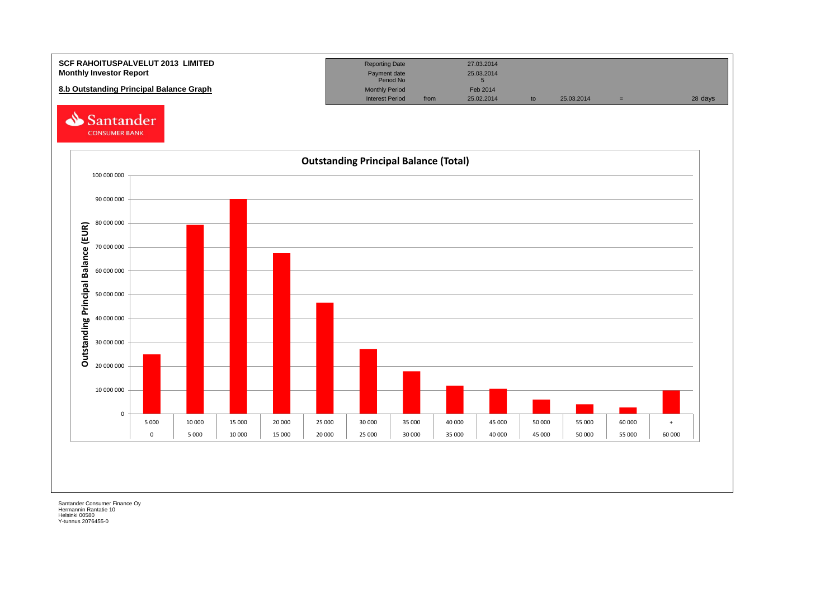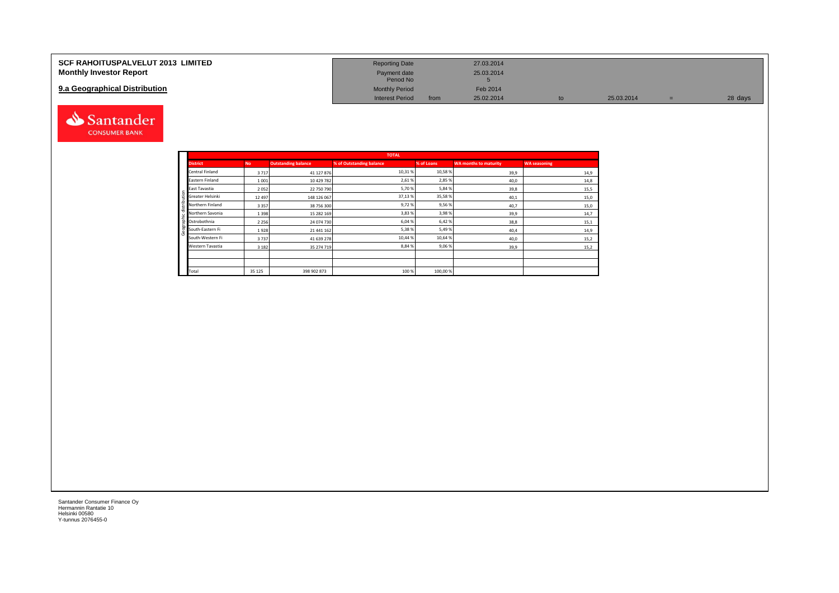| <b>SCF RAHOITUSPALVELUT 2013 LIMITED</b> | <b>Reporting Date</b>     |      | 27.03.2014 |    |            |         |
|------------------------------------------|---------------------------|------|------------|----|------------|---------|
| <b>Monthly Investor Report</b>           | Payment date<br>Period No |      | 25.03.2014 |    |            |         |
| 9.a Geographical Distribution            | <b>Monthly Period</b>     |      | Feb 2014   |    |            |         |
|                                          | <b>Interest Period</b>    | from | 25.02.2014 | to | 25.03.2014 | 28 days |



Geographic distribution

aphic distribution

andei

|                        |           |                            | <b>TOTAL</b>             |            |                              |                     |
|------------------------|-----------|----------------------------|--------------------------|------------|------------------------------|---------------------|
| <b>District</b>        | <b>No</b> | <b>Outstanding balance</b> | % of Outstanding balance | % of Loans | <b>WA months to maturity</b> | <b>WA seasoning</b> |
| <b>Central Finland</b> | 3717      | 41 127 876                 | 10,31%                   | 10,58%     | 39,9                         | 14,9                |
| Eastern Finland        | 1001      | 10 429 782                 | 2,61%                    | 2,85%      | 40,0                         | 14,8                |
| East Tavastia          | 2052      | 22 750 790                 | 5,70%                    | 5,84%      | 39,8                         | 15,5                |
| Greater Helsinki       | 12 4 9 7  | 148 126 067                | 37,13%                   | 35,58%     | 40,1                         | 15,0                |
| Northern Finland       | 3357      | 38 756 300                 | 9,72%                    | 9,56%      | 40,7                         | 15,0                |
| Northern Savonia       | 1398      | 15 282 169                 | 3,83%                    | 3,98%      | 39,9                         | 14,7                |
| Ostrobothnia           | 2 2 5 6   | 24 074 730                 | 6,04%                    | 6,42%      | 38,8                         | 15,1                |
| South-Eastern Fi       | 1928      | 21 441 162                 | 5,38%                    | 5,49%      | 40,4                         | 14,9                |
| South-Western Fi       | 3737      | 41 639 278                 | 10,44 %                  | 10,64%     | 40,0                         | 15,2                |
| Western Tavastia       | 3 1 8 2   | 35 274 719                 | 8,84%                    | 9,06%      | 39,9                         | 15,2                |
|                        |           |                            |                          |            |                              |                     |
|                        |           |                            |                          |            |                              |                     |
| Total                  | 35 1 25   | 398 902 873                | 100 %                    | 100,00%    |                              |                     |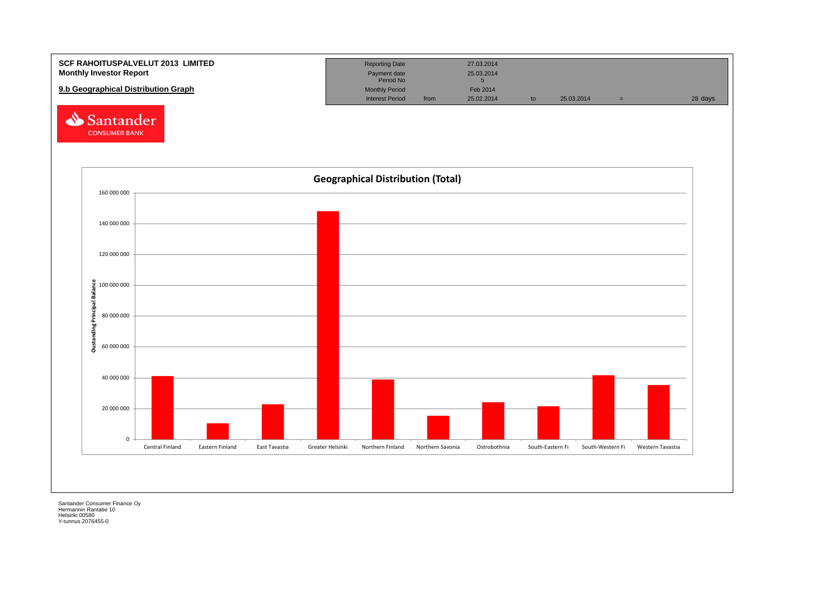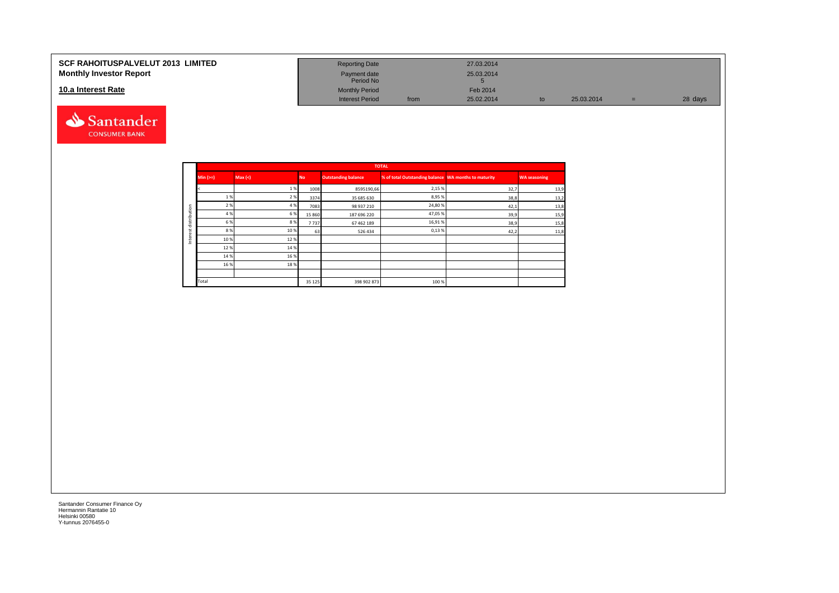#### **SCF RAHOITUSPALVELUT 2013 LIMITED Monthly Investor Report**

### **10.a Interest Rate**



| <b>Reporting Date</b>     |      | 27.03.2014      |    |            |     |         |
|---------------------------|------|-----------------|----|------------|-----|---------|
| Payment date<br>Period No |      | 25.03.2014<br>Ð |    |            |     |         |
| <b>Monthly Period</b>     |      | Feb 2014        |    |            |     |         |
| <b>Interest Period</b>    | from | 25.02.2014      | to | 25.03.2014 | $=$ | 28 days |

|              |            |         |           |                            | <b>TOTAL</b>                                         |      |                     |
|--------------|------------|---------|-----------|----------------------------|------------------------------------------------------|------|---------------------|
|              | $Min (>=)$ | Max (<) | <b>No</b> | <b>Outstanding balance</b> | % of total Outstanding balance WA months to maturity |      | <b>WA seasoning</b> |
|              |            | 1%      | 1008      | 8595190,66                 | 2,15 %                                               | 32,7 | 13,9                |
|              | 1 %        | 2 %     | 3374      | 35 685 630                 | 8,95 %                                               | 38,8 | 13,2                |
|              | 2 %        | 4 %     | 7083      | 98 937 210                 | 24,80%                                               | 42,1 | 13,8                |
|              | 4 %        | 6 %     | 15 8 6 0  | 187 696 220                | 47,05%                                               | 39,9 | 15,9                |
| distribution | 6 %        | 8%      | 7737      | 67 462 189                 | 16,91%                                               | 38,9 | 15,8                |
| α            | 8%         | 10%     | 63        | 526 434                    | 0,13%                                                | 42,2 | 11,8                |
| ğ<br>Ξ       | 10%        | 12%     |           |                            |                                                      |      |                     |
|              | 12%        | 14 %    |           |                            |                                                      |      |                     |
|              | 14 %       | 16 %    |           |                            |                                                      |      |                     |
|              | 16 %       | 18%     |           |                            |                                                      |      |                     |
|              |            |         |           |                            |                                                      |      |                     |
|              | Total      |         | 35 1 25   | 398 902 873                | 100 %                                                |      |                     |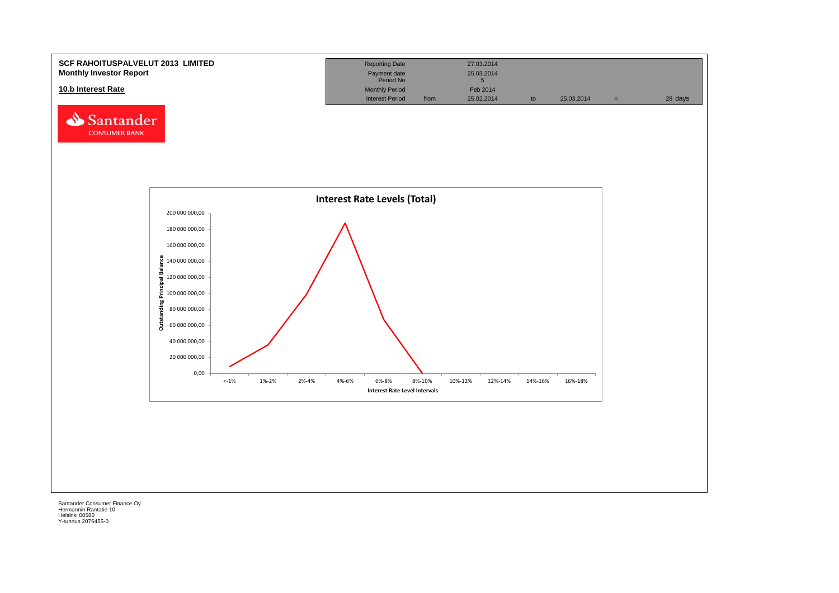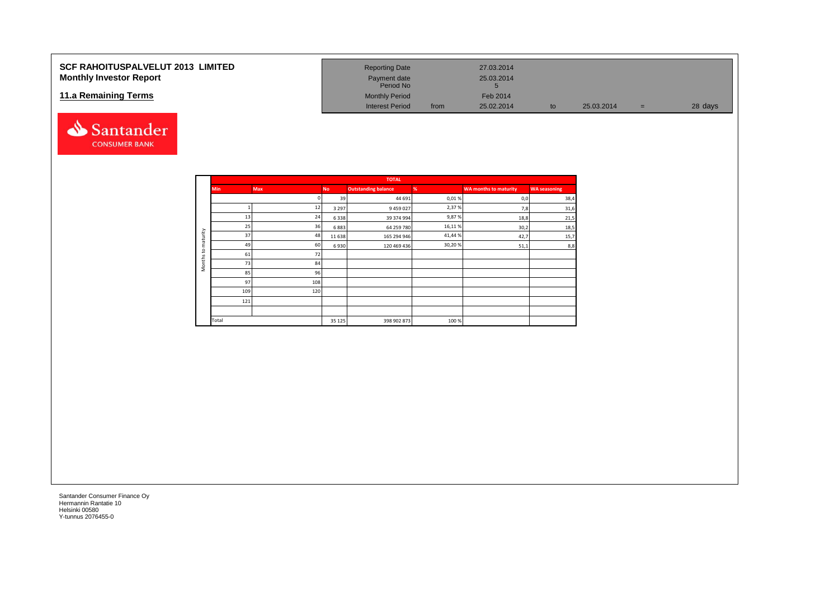## **SCF RAHOITUSPALVELUT 2013 LIMITED Monthly Investor Report**

### **11.a Remaining Terms**



| <b>Reporting Date</b>     |      | 27.03.2014      |    |            |     |         |
|---------------------------|------|-----------------|----|------------|-----|---------|
| Payment date<br>Period No |      | 25.03.2014<br>5 |    |            |     |         |
| <b>Monthly Period</b>     |      | Feb 2014        |    |            |     |         |
| <b>Interest Period</b>    | from | 25.02.2014      | to | 25.03.2014 | $=$ | 28 days |

|                     |            |     |           | <b>TOTAL</b>               |        |                              |                     |
|---------------------|------------|-----|-----------|----------------------------|--------|------------------------------|---------------------|
|                     | <b>Min</b> | Max | <b>No</b> | <b>Outstanding balance</b> | %      | <b>WA months to maturity</b> | <b>WA seasoning</b> |
|                     |            |     | 39        | 44 691                     | 0,01%  | 0,0                          | 38,4                |
|                     |            | 12  | 3 2 9 7   | 9 459 027                  | 2,37%  | 7,8                          | 31,6                |
|                     | 13         | 24  | 6338      | 39 374 994                 | 9,87%  | 18,8                         | 21,5                |
|                     | 25         | 36  | 6883      | 64 259 780                 | 16,11% | 30,2                         | 18,5                |
| aturity             | 37         | 48  | 11 638    | 165 294 946                | 41,44% | 42,7                         | 15,7                |
| ε                   | 49         | 60  | 6930      | 120 469 436                | 30,20% | 51,1                         | 8,8                 |
| $\mathbf{S}$        | 61         | 72  |           |                            |        |                              |                     |
| Months <sub>1</sub> | 73         | 84  |           |                            |        |                              |                     |
|                     | 85         | 96  |           |                            |        |                              |                     |
|                     | 97         | 108 |           |                            |        |                              |                     |
|                     | 109        | 120 |           |                            |        |                              |                     |
|                     | 121        |     |           |                            |        |                              |                     |
|                     |            |     |           |                            |        |                              |                     |
|                     | Total      |     | 35 1 25   | 398 902 873                | 100 %  |                              |                     |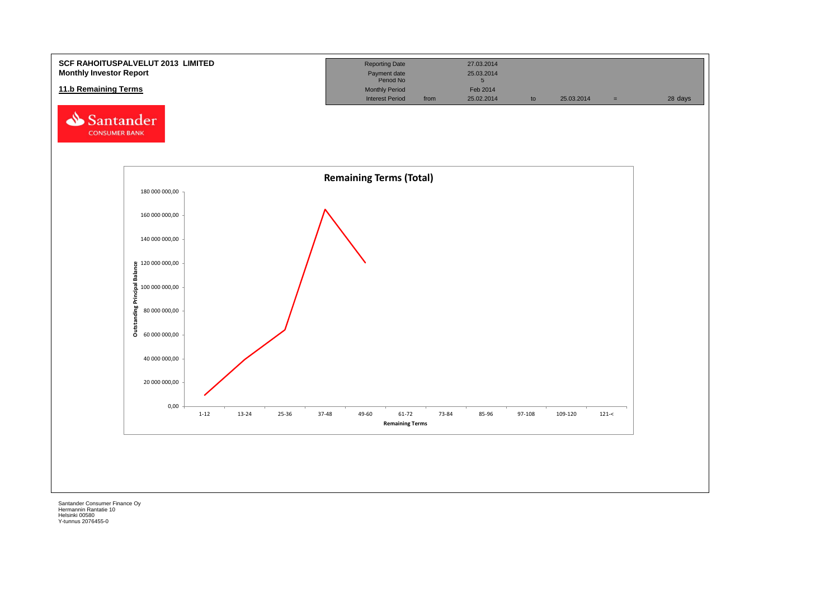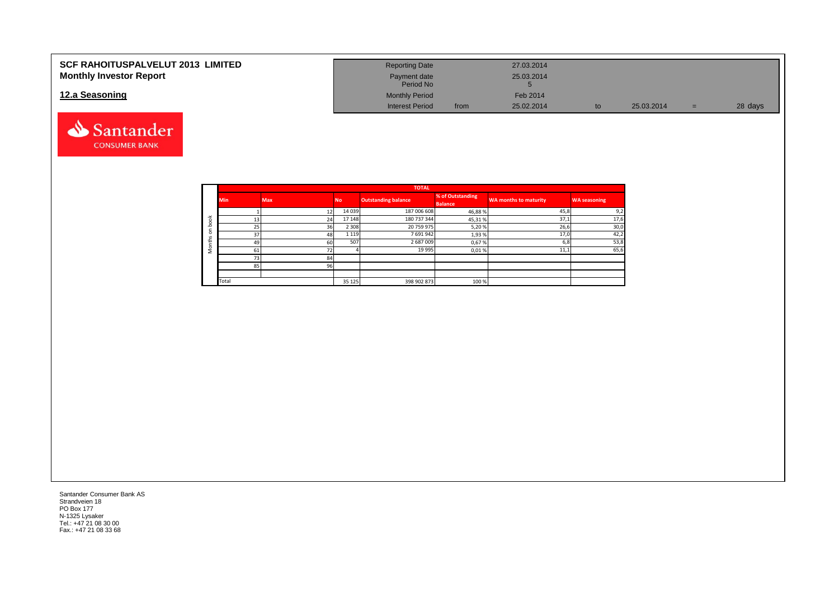| <b>SCF RAHOITUSPALVELUT 2013 LIMITED</b> | <b>Reporting Date</b>     |      | 27.03.2014 |    |            |   |         |
|------------------------------------------|---------------------------|------|------------|----|------------|---|---------|
| <b>Monthly Investor Report</b>           | Payment date<br>Period No |      | 25.03.2014 |    |            |   |         |
| 12.a Seasoning                           | <b>Monthly Period</b>     |      | Feb 2014   |    |            |   |         |
|                                          | <b>Interest Period</b>    | from | 25.02.2014 | to | 25.03.2014 | = | 28 days |



|                          |            |            |           | <b>TOTAL</b>               |                                    |                              |                     |
|--------------------------|------------|------------|-----------|----------------------------|------------------------------------|------------------------------|---------------------|
|                          | <b>Min</b> | <b>Max</b> | <b>No</b> | <b>Outstanding balance</b> | % of Outstanding<br><b>Balance</b> | <b>WA months to maturity</b> | <b>WA seasoning</b> |
|                          |            |            | 14 0 39   | 187 006 608                | 46,88%                             | 45,8                         | 9,2                 |
| $\overline{\phantom{0}}$ |            | 24         | 17 148    | 180 737 344                | 45,31%                             | 37,1                         | 17,6                |
|                          | 25         | 36         | 2 3 0 8   | 20 759 975                 | 5,20%                              | 26,6                         | 30,0                |
| $\Omega$<br>v            | 37         | 48         | 1 1 1 9   | 7691942                    | 1,93%                              | 17,0                         | 42,2                |
| £                        | 49         | 60         | 507       | 2687009                    | 0,67%                              | 6,8                          | 53,8                |
| c                        | 61         | 72         |           | 19 9 95                    | 0,01%                              | 11,1                         | 65,6                |
|                          | 73         | 84         |           |                            |                                    |                              |                     |
|                          | 85         | 96         |           |                            |                                    |                              |                     |
|                          |            |            |           |                            |                                    |                              |                     |
|                          | Total      |            | 35 1 25   | 398 902 873                | 100%                               |                              |                     |

Santander Consumer Bank AS Strandveien 18 PO Box 177 N-1325 Lysaker Tel.: +47 21 08 30 00 Fax.: +47 21 08 33 68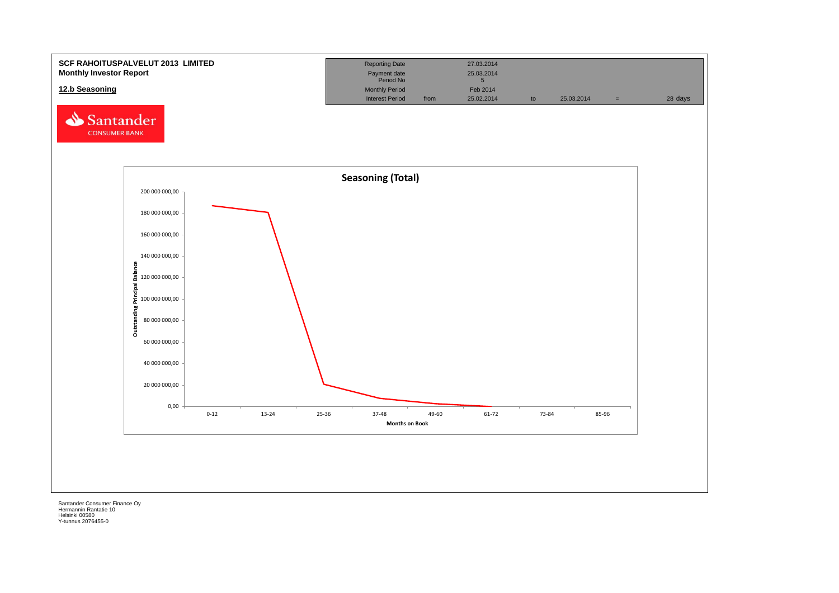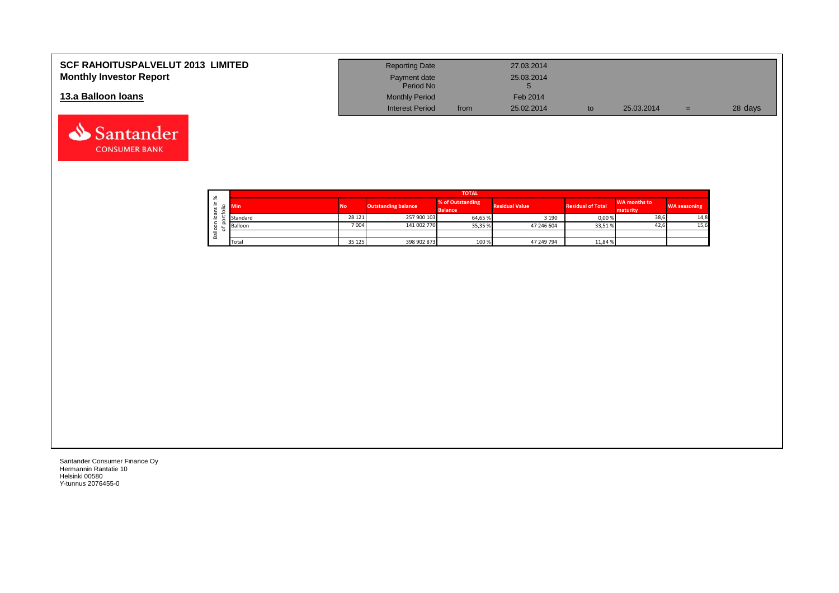| <b>SCF RAHOITUSPALVELUT 2013 LIMITED</b> | <b>Reporting Date</b>     |      | 27.03.2014 |            |     |         |
|------------------------------------------|---------------------------|------|------------|------------|-----|---------|
| <b>Monthly Investor Report</b>           | Payment date<br>Period No |      | 25.03.2014 |            |     |         |
| 13.a Balloon Ioans                       | <b>Monthly Period</b>     |      | Feb 2014   |            |     |         |
|                                          | <b>Interest Period</b>    | from | 25.02.2014 | 25.03.2014 | $=$ | 28 days |

|                   |                     |          |           |                            | <b>TOTAL</b>                       |                       |                          |                          |                     |
|-------------------|---------------------|----------|-----------|----------------------------|------------------------------------|-----------------------|--------------------------|--------------------------|---------------------|
| ∸<br>$\mathbf{v}$ | ৯ৎ<br>÷             | Min      | <b>No</b> | <b>Outstanding balance</b> | % of Outstanding<br><b>Balance</b> | <b>Residual Value</b> | <b>Residual of Total</b> | WA months to<br>maturity | <b>WA seasoning</b> |
|                   | $\sigma$<br>$\circ$ | Standard | 28 1 21   | 257 900 103                | 64,65 %                            | 3 1 9 0               | 0,00%                    | 38,6                     | 14,8                |
|                   | ∘                   | Balloon  | 7004      | 141 002 770                | 35,35 %                            | 47 246 604            | 33,51%                   | 42,6                     | 15,6                |
|                   | σ<br>őñ             |          |           |                            |                                    |                       |                          |                          |                     |
|                   |                     | Total    | 35 1 25   | 398 902 873                | 100 %                              | 47 249 794            | 11,84 %                  |                          |                     |

┑

Santander Consumer Finance Oy Hermannin Rantatie 10 Helsinki 00580 Y-tunnus 2076455-0

Santander **CONSUMER BANK**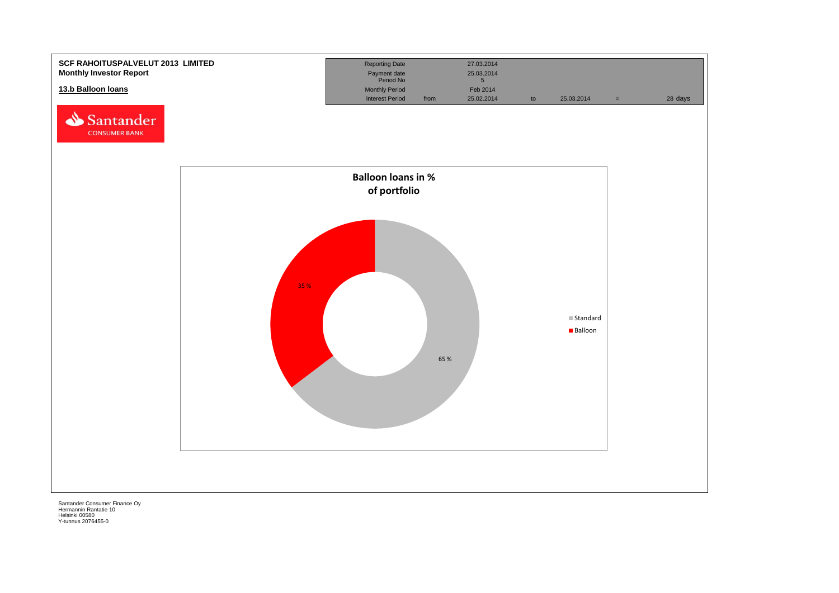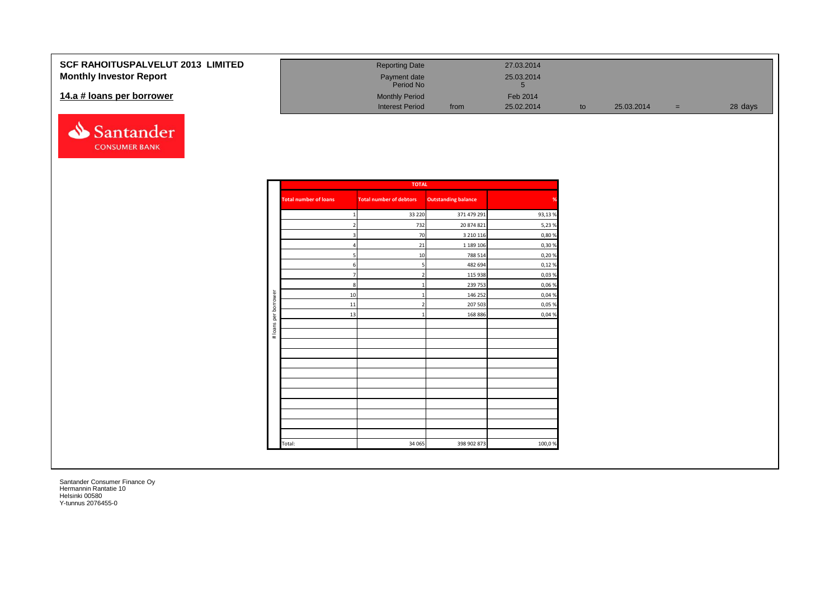## **SCF RAHOITUSPALVELUT Monthly Investor Report**

### 14.a # loans per borrower



| 2013 LIMITED | <b>Reporting Date</b>     |      | 27.03.2014 |    |            |   |         |
|--------------|---------------------------|------|------------|----|------------|---|---------|
|              | Payment date<br>Period No |      | 25.03.2014 |    |            |   |         |
|              | <b>Monthly Period</b>     |      | Feb 2014   |    |            |   |         |
|              | <b>Interest Period</b>    | from | 25.02.2014 | to | 25.03.2014 | = | 28 days |

|                      |                              | <b>TOTAL</b>                   |                            |        |
|----------------------|------------------------------|--------------------------------|----------------------------|--------|
|                      | <b>Total number of loans</b> | <b>Total number of debtors</b> | <b>Outstanding balance</b> | %      |
|                      | 1                            | 33 2 20                        | 371 479 291                | 93,13% |
|                      | $\overline{2}$               | 732                            | 20 874 821                 | 5,23 % |
|                      | 3                            | 70                             | 3 2 1 0 1 1 6              | 0,80%  |
|                      | 4                            | 21                             | 1 189 106                  | 0,30%  |
|                      | 5                            | 10                             | 788 514                    | 0,20%  |
|                      | 6                            | 5                              | 482 694                    | 0,12%  |
|                      | $\overline{7}$               | $\overline{2}$                 | 115 938                    | 0,03%  |
|                      | 8                            |                                | 239 753                    | 0,06%  |
| # loans per borrower | 10                           | -1                             | 146 252                    | 0,04 % |
|                      | 11                           | $\overline{2}$                 | 207 503                    | 0,05 % |
|                      | 13                           |                                | 168 886                    | 0,04 % |
|                      |                              |                                |                            |        |
|                      |                              |                                |                            |        |
|                      |                              |                                |                            |        |
|                      |                              |                                |                            |        |
|                      |                              |                                |                            |        |
|                      |                              |                                |                            |        |
|                      |                              |                                |                            |        |
|                      |                              |                                |                            |        |
|                      |                              |                                |                            |        |
|                      |                              |                                |                            |        |
|                      |                              |                                |                            |        |
|                      |                              |                                |                            |        |
|                      | Total:                       | 34 065                         | 398 902 873                | 100,0% |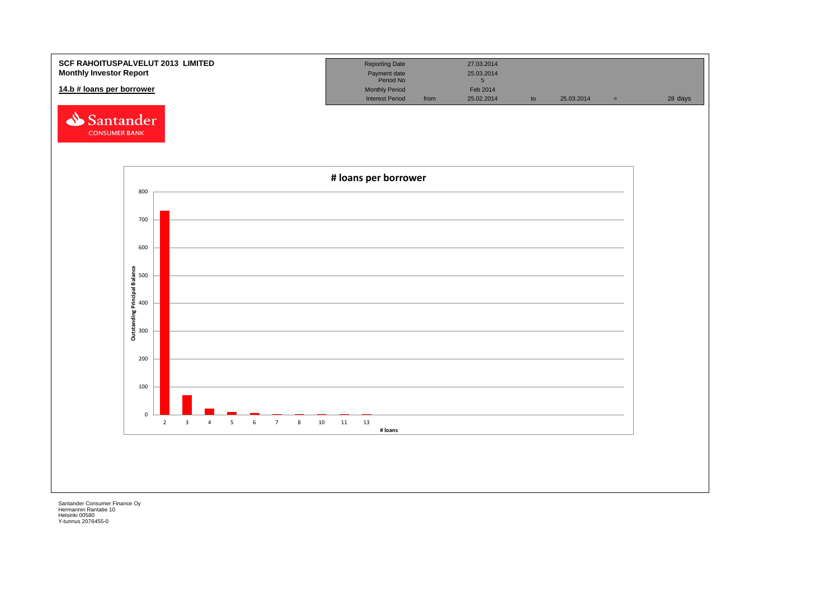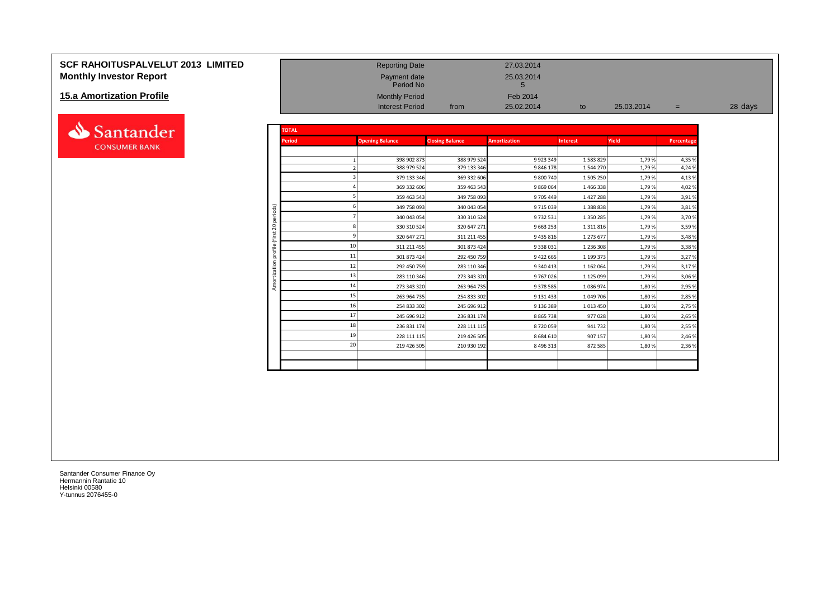# **SCF RAHOITUSPALVELUT 2013 LIMITED**<br> **Monthly Investor Report**<br>
25.03.2014<br>
Period No Payment date 25.03.2014<br>
Period No Period No Period No 5 **Monthly Investor Report**

#### **15.a Amortization Profile**



| <u>15.a Amortization Profile</u> |              |               | <b>Monthly Period</b><br><b>Interest Period</b> | from                       | Feb 2014<br>25.02.2014   | to                     | 25.03.2014     | $=$              | 28 days |
|----------------------------------|--------------|---------------|-------------------------------------------------|----------------------------|--------------------------|------------------------|----------------|------------------|---------|
| Santander                        |              | <b>TOTAL</b>  |                                                 |                            |                          |                        |                |                  |         |
| <b>CONSUMER BANK</b>             |              | <b>Period</b> | <b>Opening Balance</b>                          | <b>Closing Balance</b>     | <b>Amortization</b>      | <b>Interest</b>        | Yield          | Percentage       |         |
|                                  |              |               | 398 902 873<br>388 979 524                      | 388 979 524<br>379 133 346 | 9 9 23 3 49<br>9 846 178 | 1 583 829<br>1 544 270 | 1,79%<br>1,79% | 4,35 %<br>4,24 % |         |
|                                  |              |               | 379 133 346                                     | 369 332 606                | 9 800 740                | 1 505 250              | 1,79%          | 4,13%            |         |
|                                  |              |               | 369 332 606                                     | 359 463 543                | 9 869 064                | 1466338                | 1,79%          | 4,02 %           |         |
|                                  |              |               | 359 463 543                                     | 349 758 093                | 9 705 449                | 1 4 2 7 2 8 8          | 1,79%          | 3,91%            |         |
|                                  | iods)        |               | 349 758 093                                     | 340 043 054                | 9 715 039                | 1 388 838              | 1,79%          | 3,81%            |         |
|                                  | g<br>$\circ$ |               | 340 043 054                                     | 330 310 524                | 9 732 531                | 1 350 285              | 1,79%          | 3,70%            |         |
|                                  | $\bar{\sim}$ |               | 330 310 524                                     | 320 647 271                | 9 6 63 25 3              | 1 3 1 1 8 1 6          | 1,79%          | 3,59%            |         |
|                                  | Έ            |               | 320 647 271                                     | 311 211 455                | 9 4 3 5 8 1 6            | 1 273 677              | 1,79%          | 3,48%            |         |
|                                  |              |               | 311 211 455<br>11<br>301 873 424                | 301 873 424<br>292 450 759 | 9 338 031<br>9 422 665   | 1 236 308<br>1 199 373 | 1,79%<br>1,79% | 3,38%<br>3,27 %  |         |
|                                  |              |               | 12<br>292 450 759                               | 283 110 346                | 9 340 413                | 1 162 064              | 1,79%          | 3,17%            |         |
|                                  |              |               | 283 110 346                                     | 273 343 320                | 9 767 026                | 1 125 099              | 1,79%          | 3,06 %           |         |
|                                  |              |               | 14<br>273 343 320                               | 263 964 735                | 9 378 585                | 1086974                | 1,80%          | 2,95 %           |         |
|                                  |              |               | 15<br>263 964 735                               | 254 833 302                | 9 131 433                | 1 049 706              | 1,80%          | 2,85 %           |         |
|                                  |              |               | 254 833 302                                     | 245 696 912                | 9 136 389                | 1 0 1 3 4 5 0          | 1,80%          | 2,75 %           |         |
|                                  |              |               | 17<br>245 696 912                               | 236 831 174                | 8 8 6 5 7 3 8            | 977028                 | 1,80%          | 2,65 %           |         |
|                                  |              |               | 18<br>236 831 174                               | 228 111 115                | 8720059                  | 941 732                | 1,80%          | 2,55 %           |         |
|                                  |              |               | 228 111 115                                     | 219 426 505                | 8 6 8 4 6 1 0            | 907 157                | 1,80%          | 2,46 %           |         |
|                                  |              |               | 20<br>219 426 505                               | 210 930 192                | 8 4 9 6 3 1 3            | 872 585                | 1,80%          | 2,36 %           |         |
|                                  |              |               |                                                 |                            |                          |                        |                |                  |         |

Payment date<br>Period No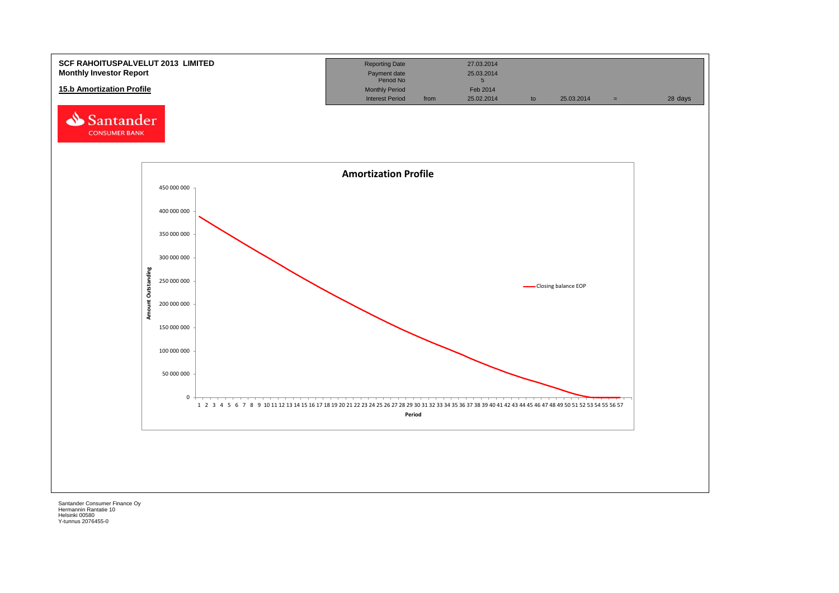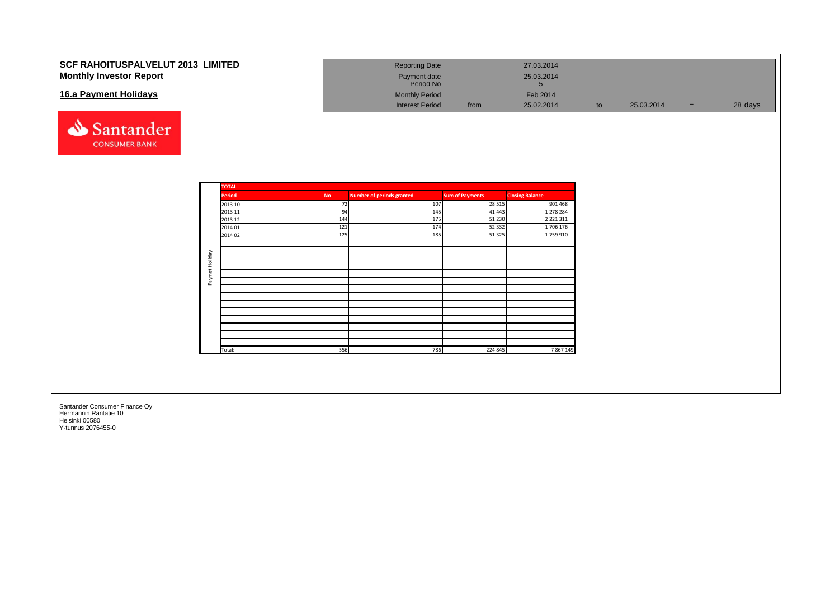| <b>SCF RAHOITUSPALVELUT 2013 LIMITED</b><br><b>Monthly Investor Report</b><br>16.a Payment Holidays<br>Santander<br><b>CONSUMER BANK</b> |                |                                                                                                |                                                   | <b>Reporting Date</b><br>Payment date<br>Period No<br><b>Monthly Period</b><br><b>Interest Period</b> |                                        | from                                                                                    | 27.03.2014<br>25.03.2014<br>$5\overline{)}$<br>Feb 2014<br>25.02.2014                              | to | 25.03.2014 | $\equiv$ | 28 days |
|------------------------------------------------------------------------------------------------------------------------------------------|----------------|------------------------------------------------------------------------------------------------|---------------------------------------------------|-------------------------------------------------------------------------------------------------------|----------------------------------------|-----------------------------------------------------------------------------------------|----------------------------------------------------------------------------------------------------|----|------------|----------|---------|
| $\sim$ $\sim$ $\sim$<br>$-$<br>$\sim$                                                                                                    | Paymet Holiday | <b>TOTAL</b><br><b>Period</b><br>2013 10<br>2013 11<br>2013 12<br>2014 01<br>2014 02<br>Total: | <b>No</b><br>72<br>94<br>144<br>121<br>125<br>556 | <b>Number of periods granted</b>                                                                      | 107<br>145<br>175<br>174<br>185<br>786 | <b>Sum of Payments</b><br>28 5 15<br>41 4 43<br>51 230<br>52 3 32<br>51 3 25<br>224 845 | <b>Closing Balance</b><br>901 468<br>1 278 284<br>2 2 2 1 3 1 1<br>1706 176<br>1759 910<br>7867149 |    |            |          |         |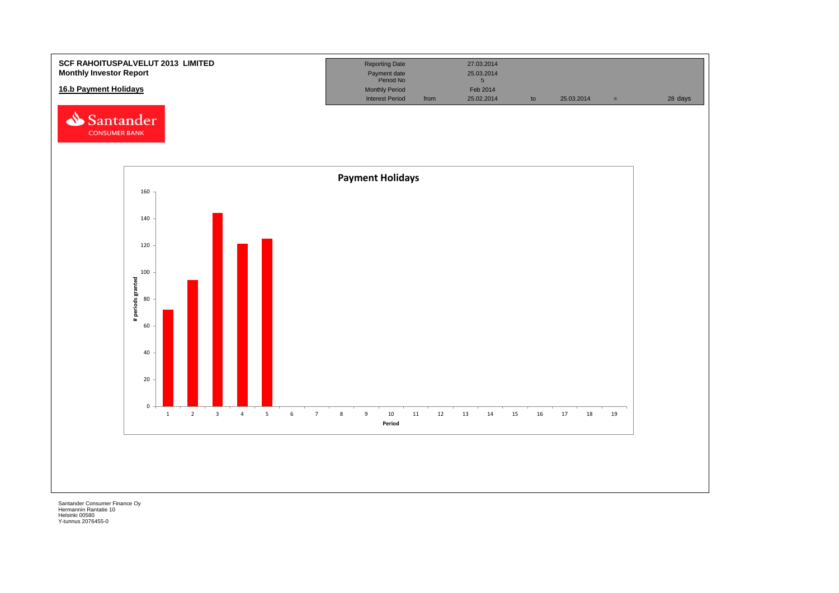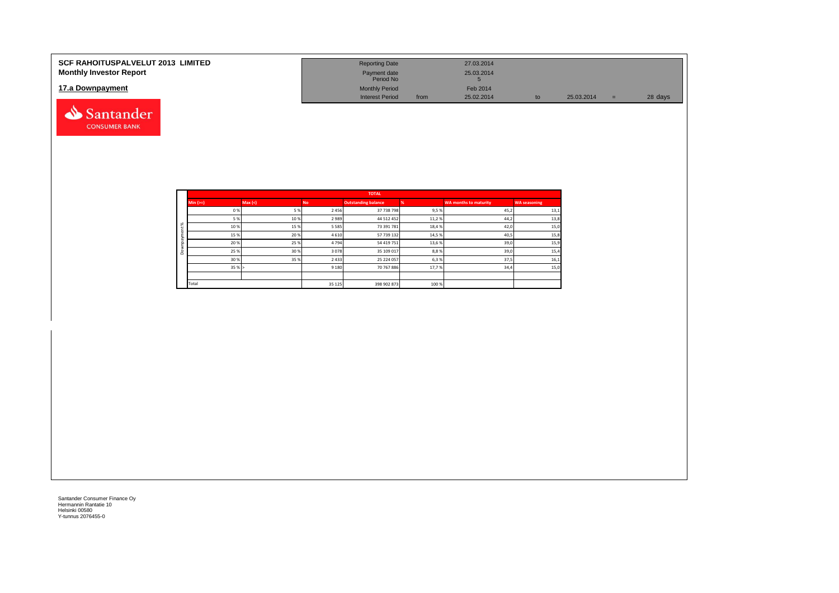| <b>SCF RAHOITUSPALVELUT 2013 LIMITED</b> | <b>Reporting Date</b>     |      | 27.03.2014 |            |         |
|------------------------------------------|---------------------------|------|------------|------------|---------|
| <b>Monthly Investor Report</b>           | Payment date<br>Period No |      | 25.03.2014 |            |         |
| 17.a Downpayment                         | <b>Monthly Period</b>     |      | Feb 2014   |            |         |
|                                          | <b>Interest Period</b>    | from | 25.02.2014 | 25.03.2014 | 28 days |

|   |            |        |           | <b>TOTAL</b>               |       |                              |                     |
|---|------------|--------|-----------|----------------------------|-------|------------------------------|---------------------|
|   | $Min (==)$ | Max(<) | <b>No</b> | <b>Outstanding balance</b> |       | <b>WA months to maturity</b> | <b>WA seasoning</b> |
|   | 0%         | 5%     | 2 4 5 6   | 37 738 798                 | 9,5%  | 45,2                         | 13,1                |
|   | 5 %        | 10%    | 2989      | 44 512 452                 | 11,2% | 44,2                         | 13,8                |
| ೫ | 10%        | 15%    | 5 5 8 5   | 73 391 781                 | 18,4% | 42,0                         | 15,0                |
|   | 15 %       | 20%    | 4 6 1 0   | 57 739 132                 | 14,5% | 40,5                         | 15,8                |
|   | 20%        | 25%    | 4794      | 54 419 751                 | 13,6% | 39,0                         | 15,9                |
| ۵ | 25 %       | 30%    | 3078      | 35 109 017                 | 8,8%  | 39,0                         | 15,4                |
|   | 30%        | 35%    | 2 4 3 3   | 25 224 057                 | 6,3%  | 37,5                         | 16,1                |
|   | 35%        |        | 9 1 8 0   | 70 767 886                 | 17,7% | 34,4                         | 15,0                |
|   |            |        |           |                            |       |                              |                     |
|   | Total      |        | 35 125    | 398 902 873                | 100 % |                              |                     |

Santander **CONSUMER BANK**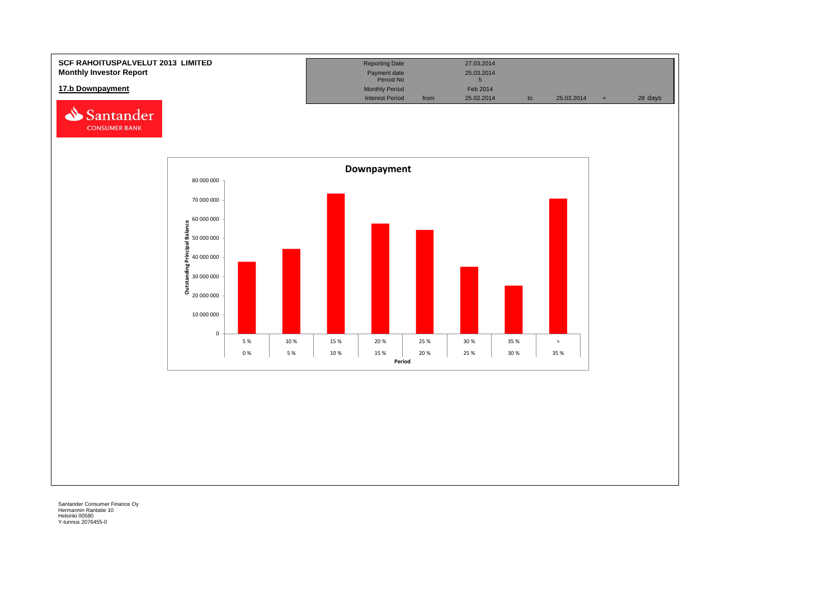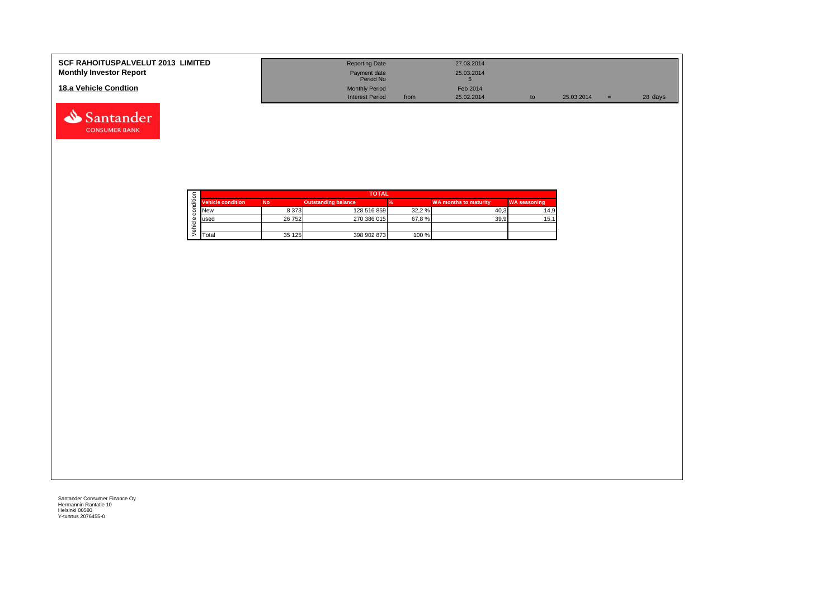| <b>SCF RAHOITUSPALVELUT 2013 LIMITED</b><br><b>Monthly Investor Report</b> | <b>Reporting Date</b><br>Payment date<br>Period No |      | 27.03.2014<br>25.03.2014 |    |            |     |         |
|----------------------------------------------------------------------------|----------------------------------------------------|------|--------------------------|----|------------|-----|---------|
| 18.a Vehicle Condtion                                                      | <b>Monthly Period</b><br><b>Interest Period</b>    | from | Feb 2014<br>25.02.2014   | to | 25.03.2014 | $=$ | 28 days |

|  |                          | <b>TOTAL</b> |                            |        |                              |                     |  |  |  |
|--|--------------------------|--------------|----------------------------|--------|------------------------------|---------------------|--|--|--|
|  | <b>Vehicle condition</b> | <b>No</b>    | <b>Outstanding balance</b> |        | <b>WA months to maturity</b> | <b>WA seasoning</b> |  |  |  |
|  | <b>New</b>               | 8 3 7 3      | 128 516 859                | 32.2 % | 40.3                         | 14.9                |  |  |  |
|  | lused                    | 26 752       | 270 386 015                | 67.8%  | 39.9                         | 15,1                |  |  |  |
|  |                          |              |                            |        |                              |                     |  |  |  |
|  | <b>T</b> otal            | 35 125       | 398 902 873                | 100 %  |                              |                     |  |  |  |

Santander **CONSUMER BANK**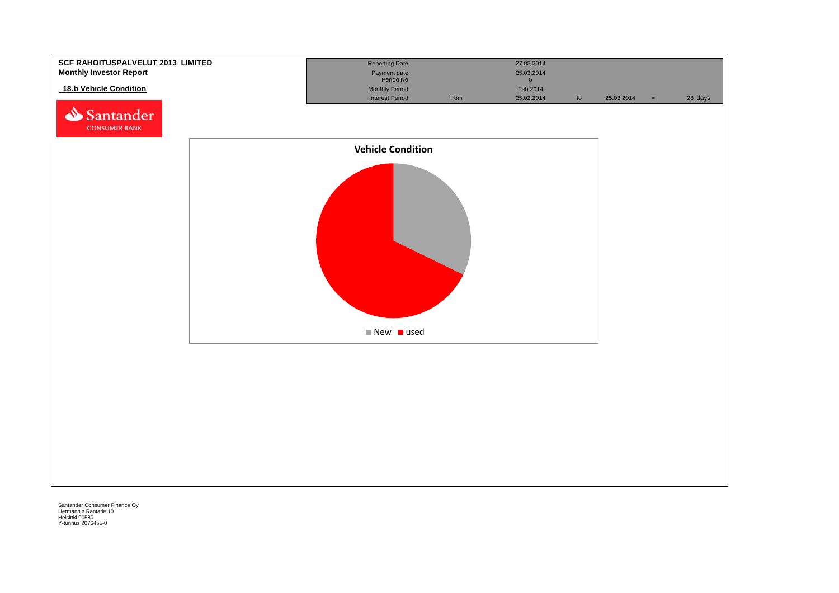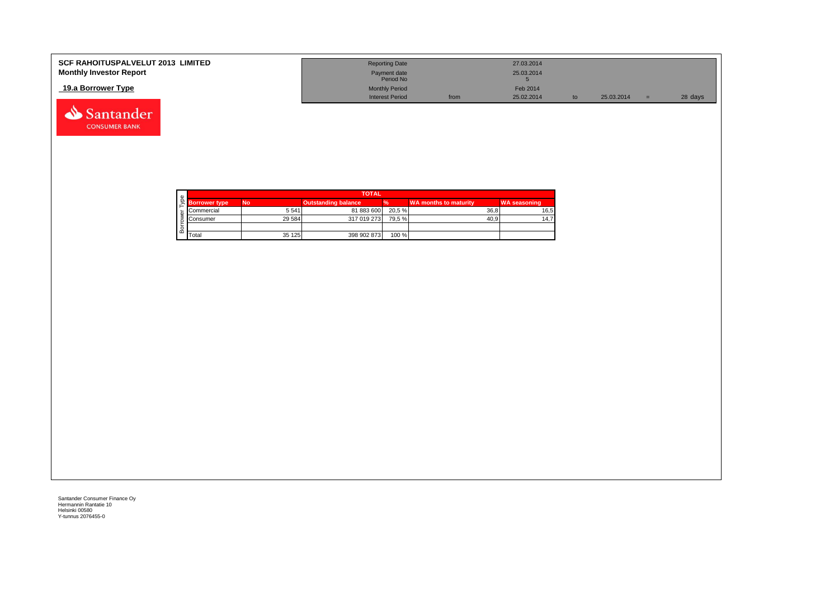| <b>SCF RAHOITUSPALVELUT 2013 LIMITED</b> | <b>Reporting Date</b>     |      | 27.03.2014 |    |            |         |
|------------------------------------------|---------------------------|------|------------|----|------------|---------|
| <b>Monthly Investor Report</b>           | Payment date<br>Period No |      | 25.03.2014 |    |            |         |
| 19.a Borrower Type                       | <b>Monthly Period</b>     |      | Feb 2014   |    |            |         |
|                                          | <b>Interest Period</b>    | from | 25.02.2014 | to | 25.03.2014 | 28 days |



Santander **CONSUMER BANK**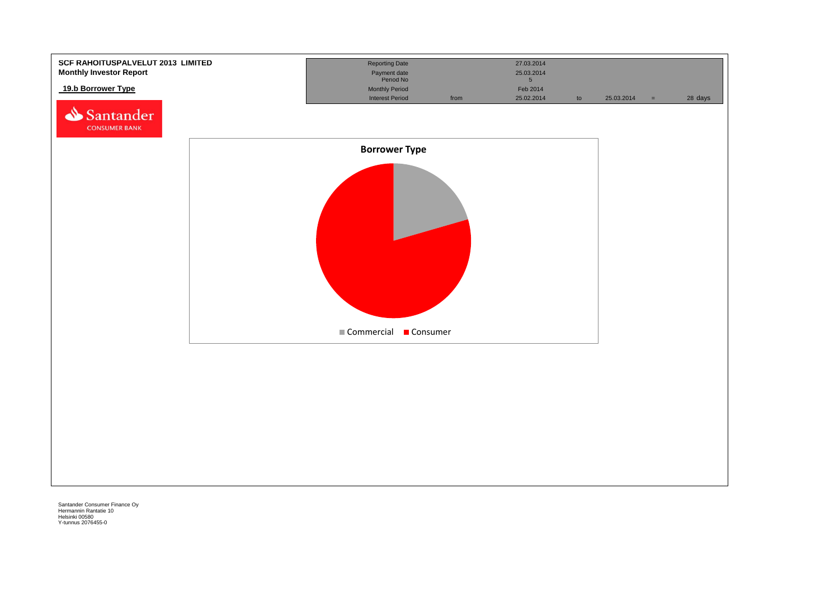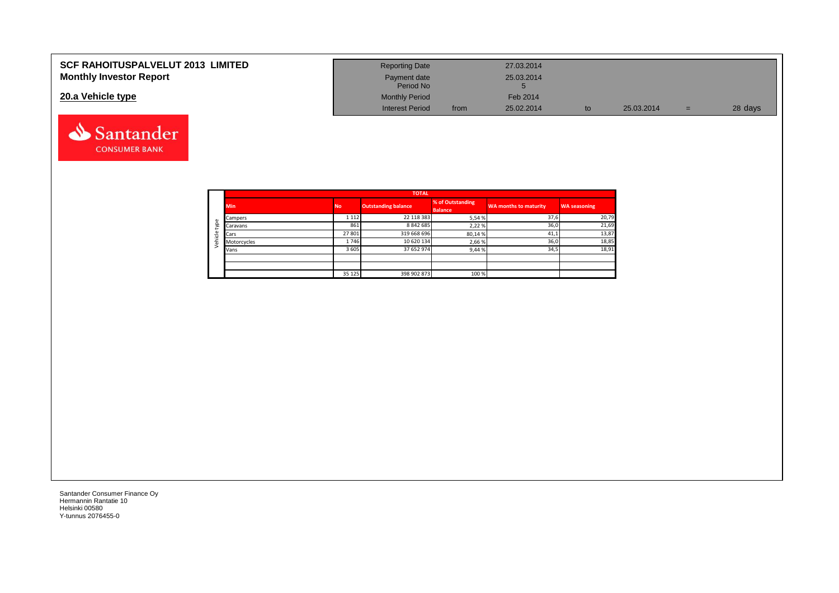| <b>SCF RAHOITUSPALVELUT 2013 LIMITED</b> | <b>Reporting Date</b>     |      | 27.03.2014 |    |            |     |         |
|------------------------------------------|---------------------------|------|------------|----|------------|-----|---------|
| <b>Monthly Investor Report</b>           | Payment date<br>Period No |      | 25.03.2014 |    |            |     |         |
| 20.a Vehicle type                        | <b>Monthly Period</b>     |      | Feb 2014   |    |            |     |         |
|                                          | <b>Interest Period</b>    | from | 25.02.2014 | to | 25.03.2014 | $=$ | 28 days |



Santander **CONSUMER BANK**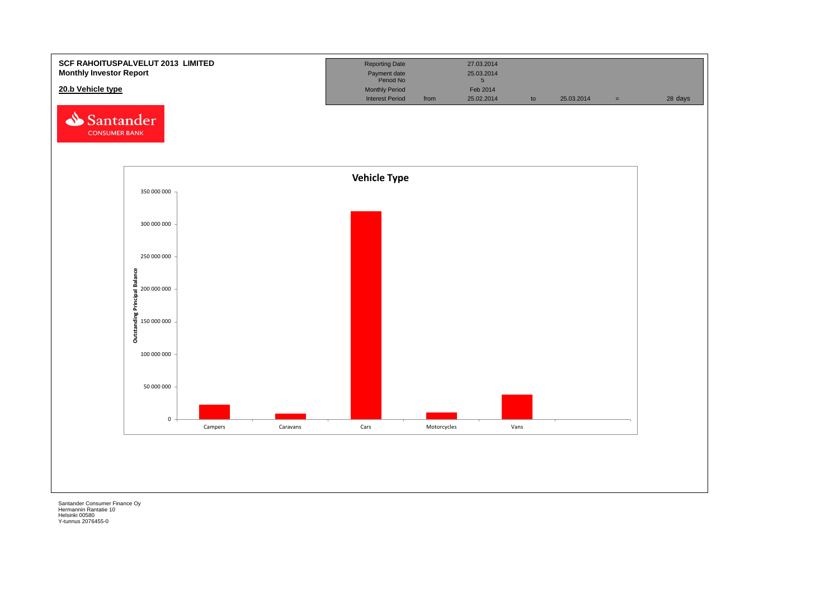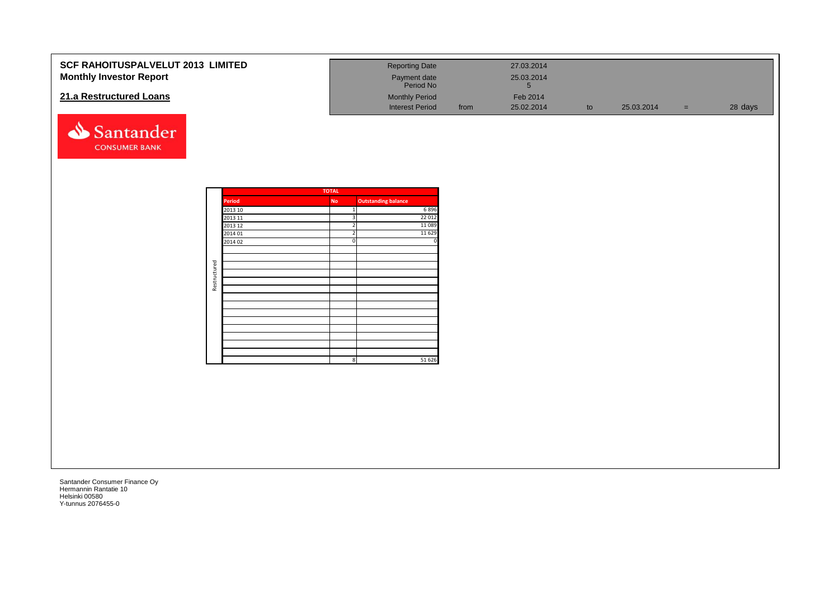| <b>SCF RAHOITUSPALVELUT 2013 LIMITED</b><br><b>Monthly Investor Report</b> |              |                    |                         | <b>Reporting Date</b><br>Payment date<br>Period No |      | 27.03.2014<br>25.03.2014<br>$5\phantom{.0}$ |    |            |       |         |
|----------------------------------------------------------------------------|--------------|--------------------|-------------------------|----------------------------------------------------|------|---------------------------------------------|----|------------|-------|---------|
| 21.a Restructured Loans                                                    |              |                    |                         | <b>Monthly Period</b><br><b>Interest Period</b>    | from | Feb 2014<br>25.02.2014                      | to | 25.03.2014 | $=$ . | 28 days |
| Santander<br><b>CONSUMER BANK</b>                                          |              |                    |                         |                                                    |      |                                             |    |            |       |         |
|                                                                            |              |                    | <b>TOTAL</b>            |                                                    |      |                                             |    |            |       |         |
|                                                                            |              | Period<br>2013 10  | No<br>$\mathbf{1}$      | <b>Outstanding balance</b><br>6896                 |      |                                             |    |            |       |         |
|                                                                            |              | 2013 11            | $\overline{\mathbf{3}}$ | 22 012                                             |      |                                             |    |            |       |         |
|                                                                            |              | 2013 12            | $\overline{2}$          | 11089                                              |      |                                             |    |            |       |         |
|                                                                            |              | 2014 01<br>2014 02 | $\Omega$                | 11 6 29                                            |      |                                             |    |            |       |         |
|                                                                            |              |                    |                         |                                                    |      |                                             |    |            |       |         |
|                                                                            |              |                    |                         |                                                    |      |                                             |    |            |       |         |
|                                                                            | Restructured |                    |                         |                                                    |      |                                             |    |            |       |         |
|                                                                            |              |                    |                         |                                                    |      |                                             |    |            |       |         |
|                                                                            |              |                    |                         |                                                    |      |                                             |    |            |       |         |
|                                                                            |              |                    |                         |                                                    |      |                                             |    |            |       |         |
|                                                                            |              |                    |                         |                                                    |      |                                             |    |            |       |         |
|                                                                            |              |                    |                         |                                                    |      |                                             |    |            |       |         |
|                                                                            |              |                    |                         |                                                    |      |                                             |    |            |       |         |
|                                                                            |              |                    |                         |                                                    |      |                                             |    |            |       |         |
|                                                                            |              |                    |                         |                                                    |      |                                             |    |            |       |         |
|                                                                            |              |                    | 8 <sup>1</sup>          | 51 626                                             |      |                                             |    |            |       |         |
|                                                                            |              |                    |                         |                                                    |      |                                             |    |            |       |         |
|                                                                            |              |                    |                         |                                                    |      |                                             |    |            |       |         |
|                                                                            |              |                    |                         |                                                    |      |                                             |    |            |       |         |
|                                                                            |              |                    |                         |                                                    |      |                                             |    |            |       |         |
|                                                                            |              |                    |                         |                                                    |      |                                             |    |            |       |         |
|                                                                            |              |                    |                         |                                                    |      |                                             |    |            |       |         |
|                                                                            |              |                    |                         |                                                    |      |                                             |    |            |       |         |
|                                                                            |              |                    |                         |                                                    |      |                                             |    |            |       |         |
|                                                                            |              |                    |                         |                                                    |      |                                             |    |            |       |         |
|                                                                            |              |                    |                         |                                                    |      |                                             |    |            |       |         |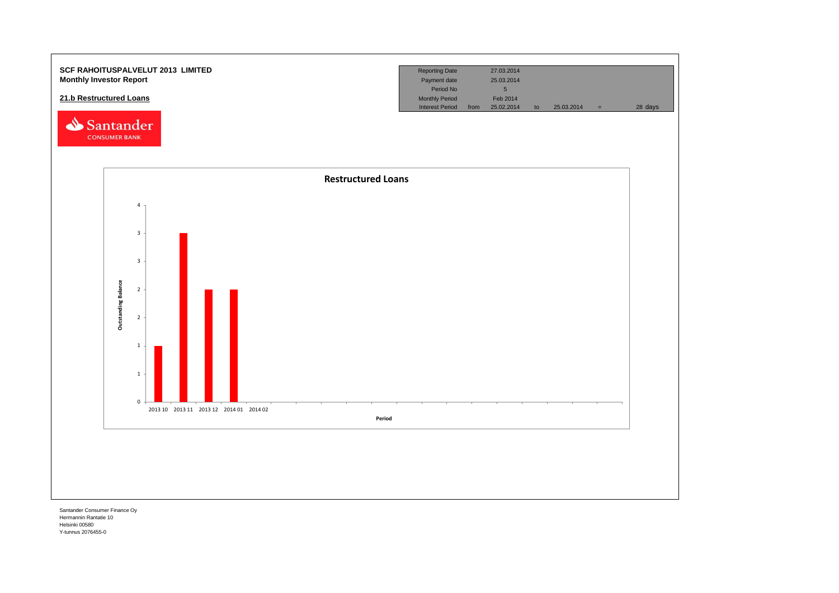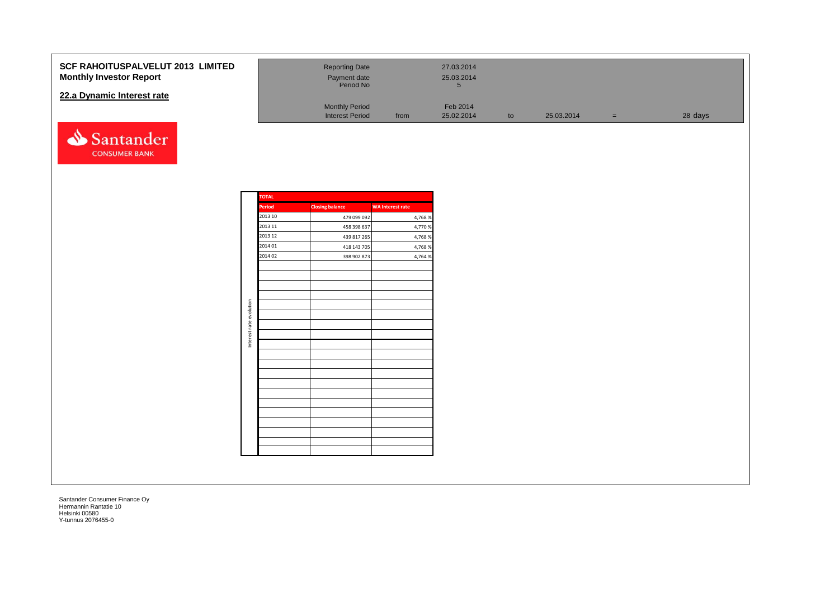### **SCF RAHOITUSPALVELUT 2013 LI Monthly Investor Report**

### **22.a Dynamic Interest rate**



| .IMITED | <b>Reporting Date</b><br>Payment date<br>Period No |      | 27.03.2014<br>25.03.2014 |    |            |     |         |
|---------|----------------------------------------------------|------|--------------------------|----|------------|-----|---------|
|         | <b>Monthly Period</b><br><b>Interest Period</b>    | from | Feb 2014<br>25.02.2014   | to | 25.03.2014 | $=$ | 28 days |

|                         | <b>TOTAL</b>  |                        |                         |
|-------------------------|---------------|------------------------|-------------------------|
|                         | <b>Period</b> | <b>Closing balance</b> | <b>WA Interest rate</b> |
|                         | 2013 10       | 479 099 092            | 4,768 %                 |
|                         | 2013 11       | 458 398 637            | 4,770 %                 |
|                         | 2013 12       | 439 817 265            | 4,768 %                 |
|                         | 2014 01       | 418 143 705            | 4,768 %                 |
|                         | 2014 02       | 398 902 873            | 4,764 %                 |
|                         |               |                        |                         |
|                         |               |                        |                         |
|                         |               |                        |                         |
|                         |               |                        |                         |
| Interest rate evolution |               |                        |                         |
|                         |               |                        |                         |
|                         |               |                        |                         |
|                         |               |                        |                         |
|                         |               |                        |                         |
|                         |               |                        |                         |
|                         |               |                        |                         |
|                         |               |                        |                         |
|                         |               |                        |                         |
|                         |               |                        |                         |
|                         |               |                        |                         |
|                         |               |                        |                         |
|                         |               |                        |                         |
|                         |               |                        |                         |
|                         |               |                        |                         |
|                         |               |                        |                         |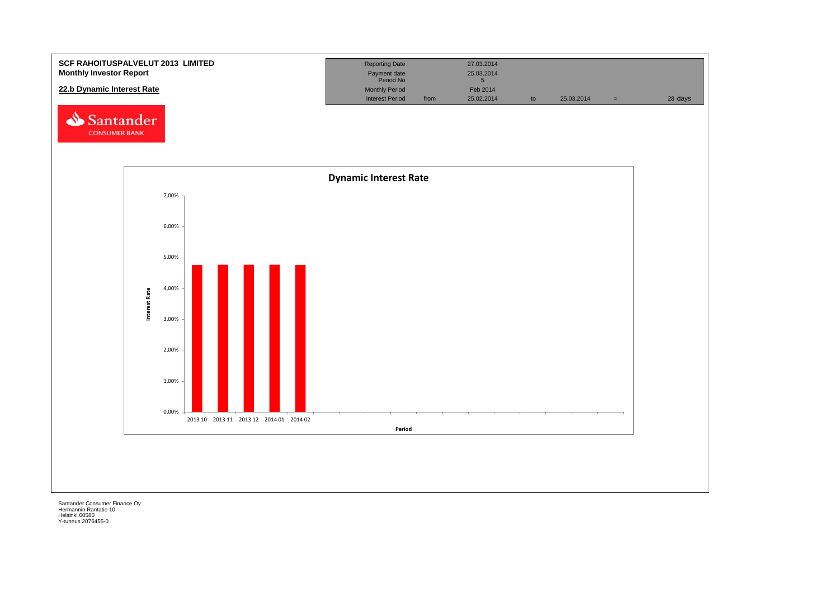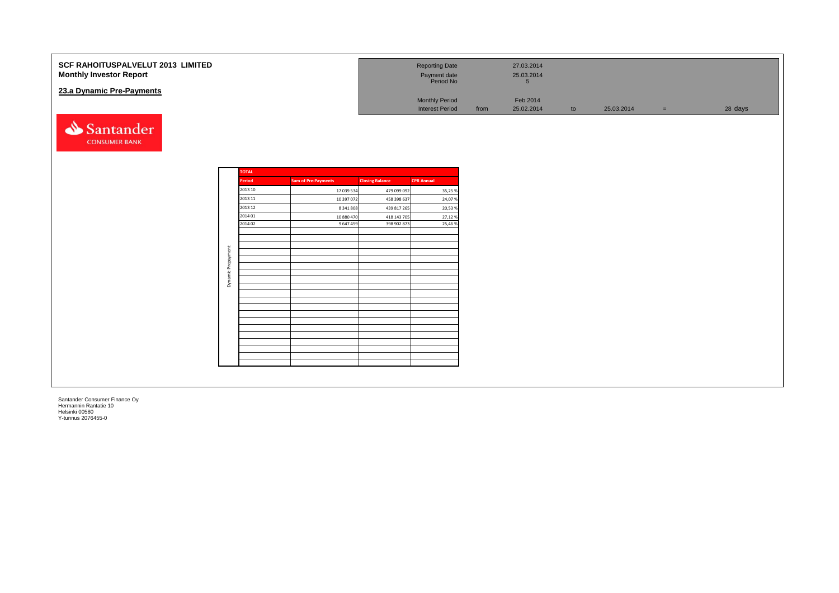| SCF RAHOITUSPALVELUT 2013 LIMITED<br><b>Monthly Investor Report</b><br>23.a Dynamic Pre-Payments |                                          |                                       |                                           | <b>Reporting Date</b><br>Payment date<br>Period No<br><b>Monthly Period</b><br><b>Interest Period</b> | from | 27.03.2014<br>25.03.2014<br>$5\overline{5}$<br>Feb 2014<br>25.02.2014 | to | 25.03.2014 | $=$ | 28 days |
|--------------------------------------------------------------------------------------------------|------------------------------------------|---------------------------------------|-------------------------------------------|-------------------------------------------------------------------------------------------------------|------|-----------------------------------------------------------------------|----|------------|-----|---------|
| Santander<br><b>CONSUMER BANK</b>                                                                | <b>TOTAL</b><br>Period                   | <b>Sum of Pre-Payments</b>            | <b>Closing Balance</b>                    | <b>CPR Annual</b>                                                                                     |      |                                                                       |    |            |     |         |
|                                                                                                  | 2013 10<br>2013 11<br>2013 12            | 17 039 534<br>10 397 072<br>8 341 808 | 479 099 092<br>458 398 637<br>439 817 265 | 35,25 %<br>24,07%<br>20,53 %                                                                          |      |                                                                       |    |            |     |         |
|                                                                                                  | 2014 01<br>2014 02<br>Dynamic Prepayment | 10 880 470<br>9 647 459               | 418 143 705<br>398 902 873                | 27,12%<br>25,46 %                                                                                     |      |                                                                       |    |            |     |         |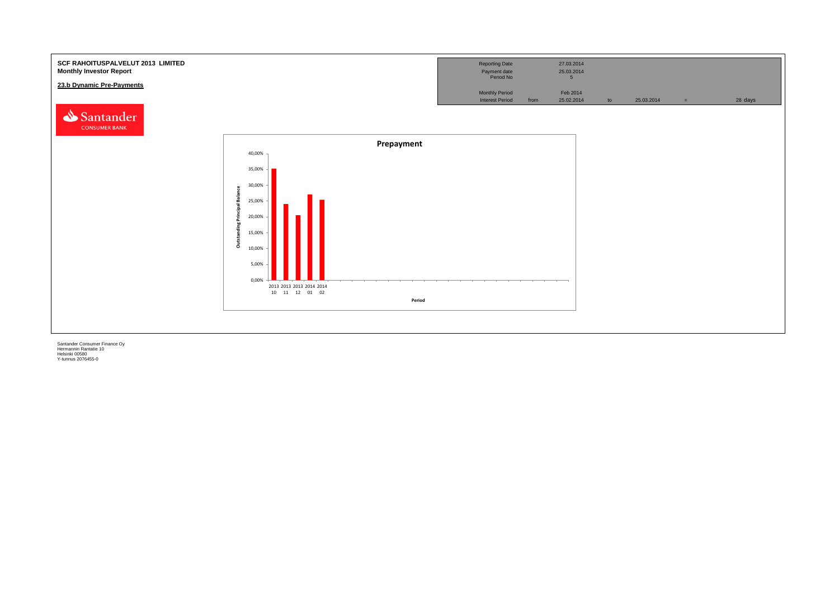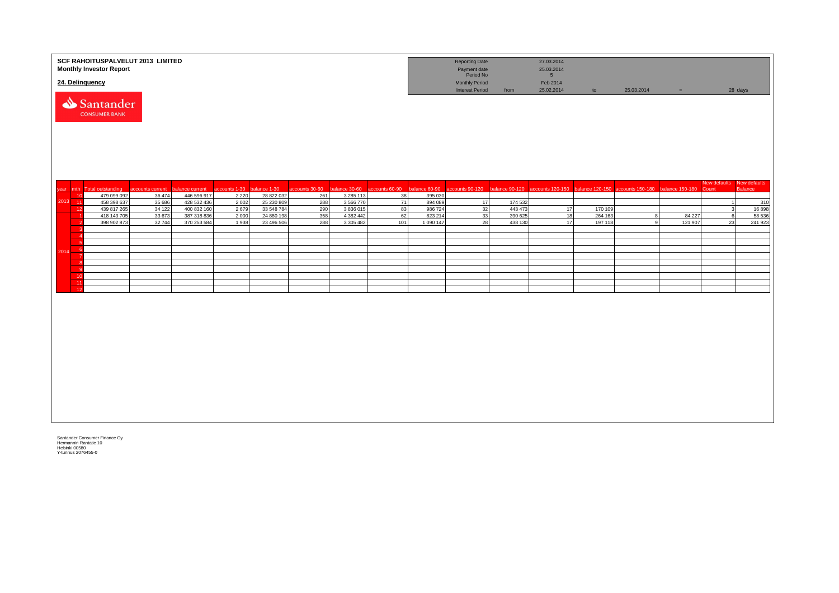|             |     | <b>Monthly Investor Report</b><br>24. Delinquency | SCF RAHOITUSPALVELUT 2013 LIMITED |                            |               |                          |                                             |                        |          |                    | <b>Reporting Date</b><br>Payment date<br>Period No<br><b>Monthly Period</b> |                    | 27.03.2014<br>25.03.2014<br>5 <sub>5</sub><br>Feb 2014 |         |                                                                   |         |                                    |              |
|-------------|-----|---------------------------------------------------|-----------------------------------|----------------------------|---------------|--------------------------|---------------------------------------------|------------------------|----------|--------------------|-----------------------------------------------------------------------------|--------------------|--------------------------------------------------------|---------|-------------------------------------------------------------------|---------|------------------------------------|--------------|
|             |     | Santander<br><b>CONSUMER BANK</b>                 |                                   |                            |               |                          |                                             |                        |          |                    | <b>Interest Period</b>                                                      | from               | 25.02.2014                                             | to      | 25.03.2014                                                        | $=$     |                                    | 28 days      |
| vear mth    |     | <b>Total outstanding</b>                          | accounts current                  | balance current            | accounts 1-30 | balance 1-30             | accounts 30-60 balance 30-60 accounts 60-90 |                        |          |                    | balance 60-90 accounts 90-120                                               | balance 90-120     |                                                        |         | accounts 120-150 balance 120-150 accounts 150-180 balance 150-180 |         | New defaults New defaults<br>Count | Balance      |
|             | 10  | 479 099 092                                       | 36 474                            | 446 596 917                | 2 2 2 0       | 28 822 032               | 261                                         | 3 285 113              | 38       | 395 030            |                                                                             |                    |                                                        |         |                                                                   |         |                                    |              |
| $2013 - 11$ | 12  | 458 398 637<br>439 817 265                        | 35 686<br>34 122                  | 428 532 436<br>400 832 160 | 2002<br>2679  | 25 230 809<br>33 548 784 | 288<br>290                                  | 3 5 6 7 7 0<br>3836015 | 71<br>83 | 894 089<br>986 724 | 17<br>32                                                                    | 174 532<br>443 473 | 17                                                     | 170 109 |                                                                   |         | $\overline{1}$                     | 310<br>16898 |
|             |     | 418 143 705                                       | 33 673                            | 387 318 836                | 2000          | 24 880 198               | 358                                         | 4 382 442              | 62       | 823 214            | 33                                                                          | 390 625            | 18                                                     | 264 163 | $\mathbf{R}$                                                      | 84 227  |                                    | 58 536       |
|             |     | 398 902 873                                       | 32744                             | 370 253 584                | 1938          | 23 496 506               | 288                                         | 3 3 0 5 4 8 2          | 101      | 1 090 147          | 28                                                                          | 438 130            | 17                                                     | 197 118 | $\alpha$                                                          | 121 907 | 23                                 | 241 923      |
|             |     |                                                   |                                   |                            |               |                          |                                             |                        |          |                    |                                                                             |                    |                                                        |         |                                                                   |         |                                    |              |
|             | - 6 |                                                   |                                   |                            |               |                          |                                             |                        |          |                    |                                                                             |                    |                                                        |         |                                                                   |         |                                    |              |
| 2014        | - 6 |                                                   |                                   |                            |               |                          |                                             |                        |          |                    |                                                                             |                    |                                                        |         |                                                                   |         |                                    |              |
|             |     |                                                   |                                   |                            |               |                          |                                             |                        |          |                    |                                                                             |                    |                                                        |         |                                                                   |         |                                    |              |
|             | - 9 |                                                   |                                   |                            |               |                          |                                             |                        |          |                    |                                                                             |                    |                                                        |         |                                                                   |         |                                    |              |
|             | 10  |                                                   |                                   |                            |               |                          |                                             |                        |          |                    |                                                                             |                    |                                                        |         |                                                                   |         |                                    |              |
|             | 11  |                                                   |                                   |                            |               |                          |                                             |                        |          |                    |                                                                             |                    |                                                        |         |                                                                   |         |                                    |              |
|             | 12  |                                                   |                                   |                            |               |                          |                                             |                        |          |                    |                                                                             |                    |                                                        |         |                                                                   |         |                                    |              |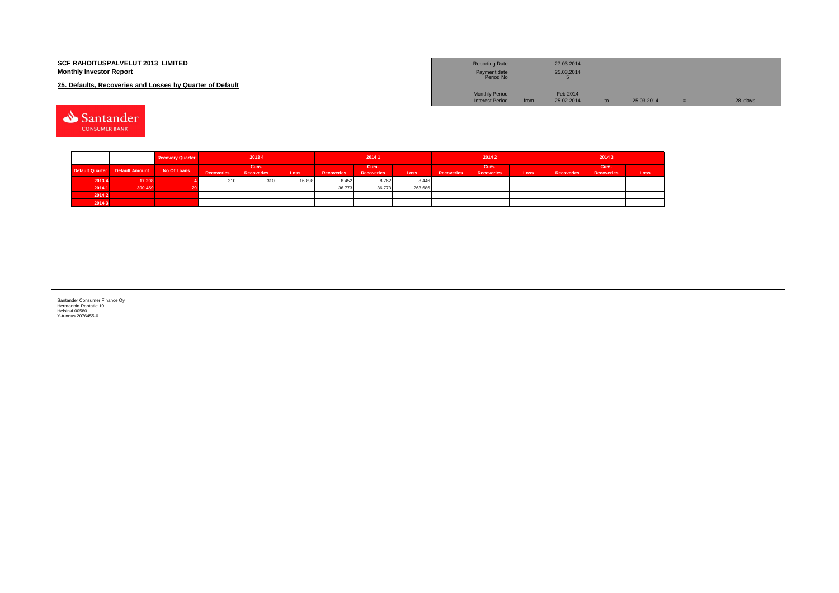| <b>SCF RAHOITUSPALVELUT 2013 LIMITED</b><br><b>Monthly Investor Report</b> | <b>Reporting Date</b><br>Payment date<br>Period No |      | 27.03.2014<br>25.03.2014 |                 |            |         |
|----------------------------------------------------------------------------|----------------------------------------------------|------|--------------------------|-----------------|------------|---------|
| 25. Defaults, Recoveries and Losses by Quarter of Default                  |                                                    |      |                          |                 |            |         |
|                                                                            | <b>Monthly Period</b>                              |      | Feb 2014                 |                 |            |         |
|                                                                            | <b>Interest Period</b>                             | from | 25.02.2014               | $\overline{10}$ | 25.03.2014 | 28 days |
|                                                                            |                                                    |      |                          |                 |            |         |

Santander **CONSUMER BANK** 

|        |                                | <b>Recovery Quarter</b> | 20134             |                           | 20141 |                   |                           | 20142   |                   |                           | 20143 |                   |                           |      |
|--------|--------------------------------|-------------------------|-------------------|---------------------------|-------|-------------------|---------------------------|---------|-------------------|---------------------------|-------|-------------------|---------------------------|------|
|        | Default Quarter Default Amount | No Of Loans             | <b>Recoveries</b> | Cum.<br><b>Recoveries</b> | Loss  | <b>Recoveries</b> | Cum.<br><b>Recoveries</b> | Loss    | <b>Recoveries</b> | Cum.<br><b>Recoveries</b> | Loss  | <b>Recoveries</b> | Cum.<br><b>Recoveries</b> | Loss |
| 2013 4 | 17 208                         |                         | 310               | 310                       | 16898 | 8452              | 8762                      | 8 4 4 6 |                   |                           |       |                   |                           |      |
| 2014 1 | 300 459                        |                         |                   |                           |       | 36 773            | 36 773                    | 263 686 |                   |                           |       |                   |                           |      |
| 2014 2 |                                |                         |                   |                           |       |                   |                           |         |                   |                           |       |                   |                           |      |
| 2014 3 |                                |                         |                   |                           |       |                   |                           |         |                   |                           |       |                   |                           |      |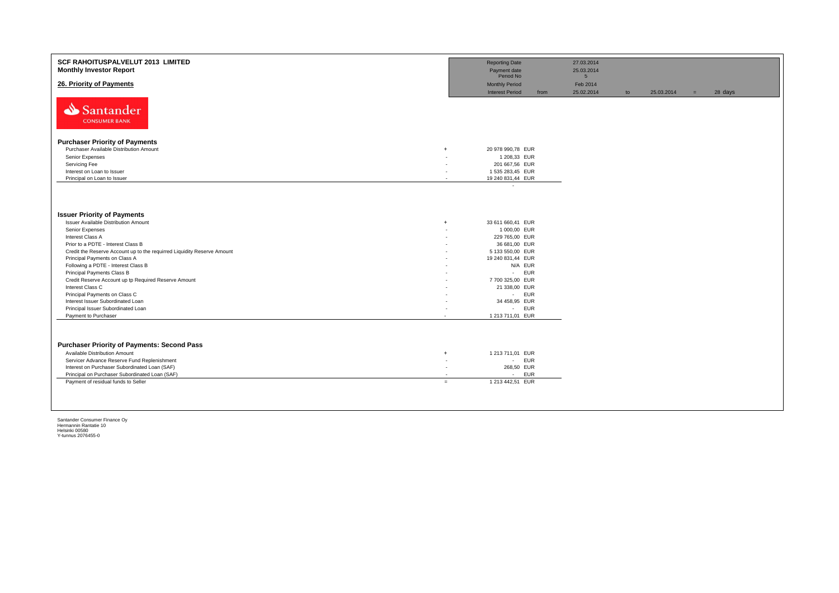| SCF RAHOITUSPALVELUT 2013 LIMITED<br><b>Monthly Investor Report</b>                                                                                                                                                                                                                                                                                                                                                                                                                                                                                      | <b>Reporting Date</b><br>Payment date                                                                                                                                                                |                                    | 27.03.2014<br>25.03.2014 |    |            |     |         |
|----------------------------------------------------------------------------------------------------------------------------------------------------------------------------------------------------------------------------------------------------------------------------------------------------------------------------------------------------------------------------------------------------------------------------------------------------------------------------------------------------------------------------------------------------------|------------------------------------------------------------------------------------------------------------------------------------------------------------------------------------------------------|------------------------------------|--------------------------|----|------------|-----|---------|
|                                                                                                                                                                                                                                                                                                                                                                                                                                                                                                                                                          | Period No                                                                                                                                                                                            |                                    | 5 <sup>5</sup>           |    |            |     |         |
| 26. Priority of Payments                                                                                                                                                                                                                                                                                                                                                                                                                                                                                                                                 | <b>Monthly Period</b>                                                                                                                                                                                |                                    | Feb 2014                 |    |            |     |         |
| Santander<br><b>CONSUMER BANK</b>                                                                                                                                                                                                                                                                                                                                                                                                                                                                                                                        | <b>Interest Period</b>                                                                                                                                                                               | from                               | 25.02.2014               | to | 25.03.2014 | $=$ | 28 days |
| <b>Purchaser Priority of Payments</b>                                                                                                                                                                                                                                                                                                                                                                                                                                                                                                                    |                                                                                                                                                                                                      |                                    |                          |    |            |     |         |
| Purchaser Available Distribution Amount                                                                                                                                                                                                                                                                                                                                                                                                                                                                                                                  | 20 978 990,78 EUR<br>$\ddot{}$                                                                                                                                                                       |                                    |                          |    |            |     |         |
| Senior Expenses                                                                                                                                                                                                                                                                                                                                                                                                                                                                                                                                          | 1 208,33 EUR                                                                                                                                                                                         |                                    |                          |    |            |     |         |
| Servicing Fee                                                                                                                                                                                                                                                                                                                                                                                                                                                                                                                                            | 201 667,56 EUR                                                                                                                                                                                       |                                    |                          |    |            |     |         |
| Interest on Loan to Issuer                                                                                                                                                                                                                                                                                                                                                                                                                                                                                                                               | 1 535 283,45 EUR                                                                                                                                                                                     |                                    |                          |    |            |     |         |
| Principal on Loan to Issuer                                                                                                                                                                                                                                                                                                                                                                                                                                                                                                                              | 19 240 831,44 EUR<br>$\sim$                                                                                                                                                                          |                                    |                          |    |            |     |         |
| <b>Issuer Priority of Payments</b><br>Issuer Available Distribution Amount<br>Senior Expenses<br>Interest Class A<br>Prior to a PDTE - Interest Class B<br>Credit the Reserve Account up to the requirred Liquidity Reserve Amount<br>Principal Payments on Class A<br>Following a PDTE - Interest Class B<br>Principal Payments Class B<br>Credit Reserve Account up tp Required Reserve Amount<br>Interest Class C<br>Principal Payments on Class C<br>Interest Issuer Subordinated Loan<br>Principal Issuer Subordinated Loan<br>Payment to Purchaser | 33 611 660,41 EUR<br>$\ddot{}$<br>1 000,00 EUR<br>229 765,00 EUR<br>36 681,00 EUR<br>5 133 550,00 EUR<br>19 240 831,44 EUR<br>7 700 325,00 EUR<br>21 338,00 EUR<br>34 458,95 EUR<br>1 213 711,01 EUR | N/A EUR<br>- EUR<br>- EUR<br>- EUR |                          |    |            |     |         |
| <b>Purchaser Priority of Payments: Second Pass</b><br>Available Distribution Amount<br>$\ddot{+}$<br>Servicer Advance Reserve Fund Replenishment<br>Interest on Purchaser Subordinated Loan (SAF)<br>Principal on Purchaser Subordinated Loan (SAF)<br>Payment of residual funds to Seller                                                                                                                                                                                                                                                               | 1 213 711,01 EUR<br>. .<br>268,50 EUR<br>1 213 442,51 EUR<br>$=$                                                                                                                                     | - EUR<br>- EUR                     |                          |    |            |     |         |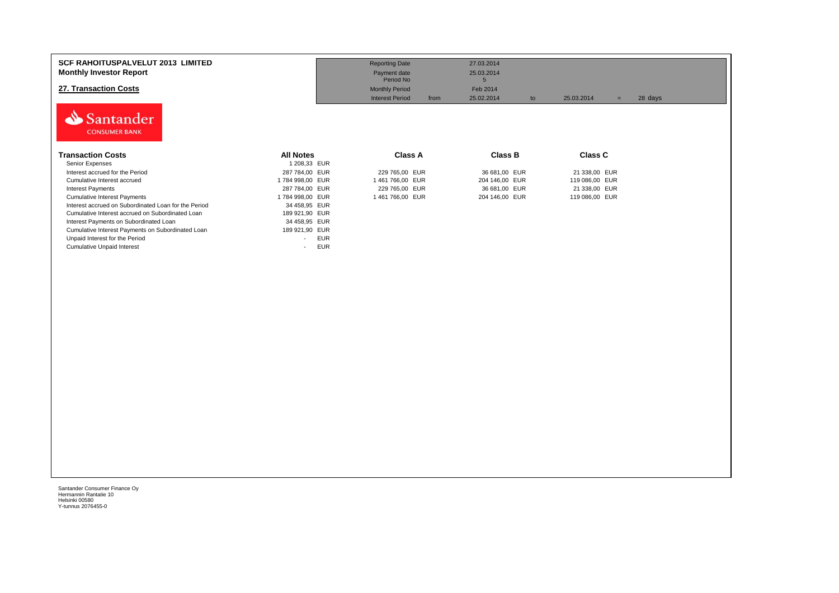| <b>SCF RAHOITUSPALVELUT 2013 LIMITED</b><br><b>Monthly Investor Report</b><br>27. Transaction Costs<br>Santander<br><b>CONSUMER BANK</b> |                                        | <b>Reporting Date</b><br>Payment date<br>Period No<br><b>Monthly Period</b><br><b>Interest Period</b><br>from | 27.03.2014<br>25.03.2014<br>5<br>Feb 2014<br>25.02.2014<br>to | 25.03.2014<br>$=$ | 28 days |
|------------------------------------------------------------------------------------------------------------------------------------------|----------------------------------------|---------------------------------------------------------------------------------------------------------------|---------------------------------------------------------------|-------------------|---------|
| Transaction Costs                                                                                                                        | <b>All Notes</b>                       | <b>Class A</b>                                                                                                | <b>Class B</b>                                                | <b>Class C</b>    |         |
| Senior Expenses                                                                                                                          | 1 208,33 EUR                           |                                                                                                               |                                                               |                   |         |
| Interest accrued for the Period                                                                                                          | 287 784,00 EUR                         | 229 765,00 EUR                                                                                                | 36 681,00 EUR                                                 | 21 338,00 EUR     |         |
| Cumulative Interest accrued                                                                                                              | 1784 998,00 EUR                        | 1461766,00 EUR                                                                                                | 204 146,00 EUR                                                | 119 086,00 EUR    |         |
| <b>Interest Payments</b>                                                                                                                 | 287 784,00 EUR                         | 229 765,00 EUR                                                                                                | 36 681,00 EUR                                                 | 21 338,00 EUR     |         |
| <b>Cumulative Interest Payments</b>                                                                                                      | 1784 998,00 EUR                        | 1461766,00 EUR                                                                                                | 204 146,00 EUR                                                | 119 086,00 EUR    |         |
| Interest accrued on Subordinated Loan for the Period                                                                                     | 34 458,95 EUR                          |                                                                                                               |                                                               |                   |         |
| Cumulative Interest accrued on Subordinated Loan                                                                                         | 189 921,90 EUR                         |                                                                                                               |                                                               |                   |         |
| Interest Payments on Subordinated Loan                                                                                                   | 34 458,95 EUR                          |                                                                                                               |                                                               |                   |         |
| Cumulative Interest Payments on Subordinated Loan                                                                                        | 189 921,90 EUR                         |                                                                                                               |                                                               |                   |         |
| Unpaid Interest for the Period                                                                                                           | <b>EUR</b><br>$\overline{\phantom{0}}$ |                                                                                                               |                                                               |                   |         |
| <b>Cumulative Unpaid Interest</b>                                                                                                        | <b>EUR</b><br>۰                        |                                                                                                               |                                                               |                   |         |